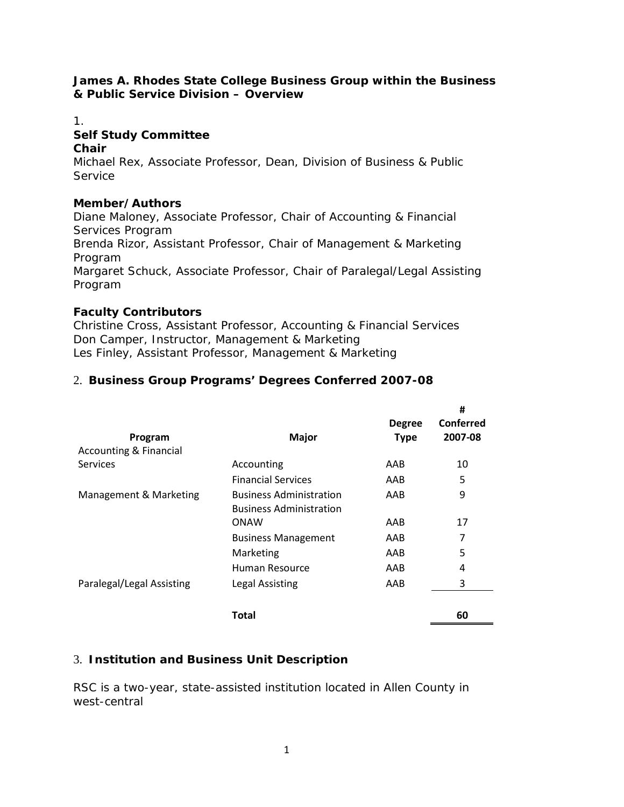#### **James A. Rhodes State College Business Group within the Business & Public Service Division – Overview**

## 1. **Self Study Committee**

#### **Chair**

Michael Rex, Associate Professor, Dean, Division of Business & Public **Service** 

### **Member/Authors**

Diane Maloney, Associate Professor, Chair of Accounting & Financial Services Program Brenda Rizor, Assistant Professor, Chair of Management & Marketing Program Margaret Schuck, Associate Professor, Chair of Paralegal/Legal Assisting Program

## **Faculty Contributors**

Christine Cross, Assistant Professor, Accounting & Financial Services Don Camper, Instructor, Management & Marketing Les Finley, Assistant Professor, Management & Marketing

## 2. **Business Group Programs' Degrees Conferred 2007-08**

| Program<br><b>Accounting &amp; Financial</b> | <b>Major</b>                                                     | <b>Degree</b><br><b>Type</b> | #<br>Conferred<br>2007-08 |
|----------------------------------------------|------------------------------------------------------------------|------------------------------|---------------------------|
| <b>Services</b>                              | Accounting                                                       | AAB                          | 10                        |
|                                              | <b>Financial Services</b>                                        | AAB                          | 5                         |
| Management & Marketing                       | <b>Business Administration</b><br><b>Business Administration</b> | AAB                          | 9                         |
|                                              | ONAW                                                             | AAB                          | 17                        |
|                                              | <b>Business Management</b>                                       | AAB                          | 7                         |
|                                              | Marketing                                                        | AAB                          | 5                         |
|                                              | Human Resource                                                   | AAB                          | 4                         |
| Paralegal/Legal Assisting                    | Legal Assisting                                                  | AAB                          | 3                         |
|                                              | Total                                                            |                              | 60                        |

## 3. **Institution and Business Unit Description**

RSC is a two-year, state-assisted institution located in Allen County in west-central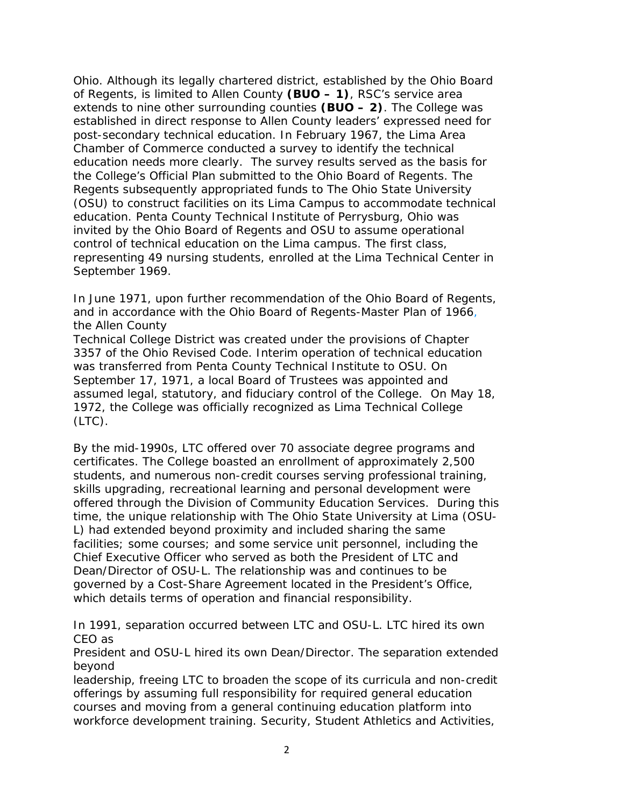Ohio. Although its legally chartered district, established by the Ohio Board of Regents, is limited to Allen County **(BUO – 1)**, RSC's service area extends to nine other surrounding counties **(BUO – 2)**. The College was established in direct response to Allen County leaders' expressed need for post-secondary technical education. In February 1967, the Lima Area Chamber of Commerce conducted a survey to identify the technical education needs more clearly. The survey results served as the basis for the College's Official Plan submitted to the Ohio Board of Regents. The Regents subsequently appropriated funds to The Ohio State University (OSU) to construct facilities on its Lima Campus to accommodate technical education. Penta County Technical Institute of Perrysburg, Ohio was invited by the Ohio Board of Regents and OSU to assume operational control of technical education on the Lima campus. The first class, representing 49 nursing students, enrolled at the Lima Technical Center in September 1969.

In June 1971, upon further recommendation of the Ohio Board of Regents, and in accordance with the Ohio Board of Regents-Master Plan of 1966, the Allen County

Technical College District was created under the provisions of Chapter 3357 of the Ohio Revised Code. Interim operation of technical education was transferred from Penta County Technical Institute to OSU. On September 17, 1971, a local Board of Trustees was appointed and assumed legal, statutory, and fiduciary control of the College. On May 18, 1972, the College was officially recognized as Lima Technical College  $(LTC)$ .

By the mid-1990s, LTC offered over 70 associate degree programs and certificates. The College boasted an enrollment of approximately 2,500 students, and numerous non-credit courses serving professional training, skills upgrading, recreational learning and personal development were offered through the Division of Community Education Services. During this time, the unique relationship with The Ohio State University at Lima (OSU-L) had extended beyond proximity and included sharing the same facilities; some courses; and some service unit personnel, including the Chief Executive Officer who served as both the President of LTC and Dean/Director of OSU-L. The relationship was and continues to be governed by a Cost-Share Agreement located in the President's Office, which details terms of operation and financial responsibility.

In 1991, separation occurred between LTC and OSU-L. LTC hired its own CEO as

President and OSU-L hired its own Dean/Director. The separation extended beyond

leadership, freeing LTC to broaden the scope of its curricula and non-credit offerings by assuming full responsibility for required general education courses and moving from a general continuing education platform into workforce development training. Security, Student Athletics and Activities,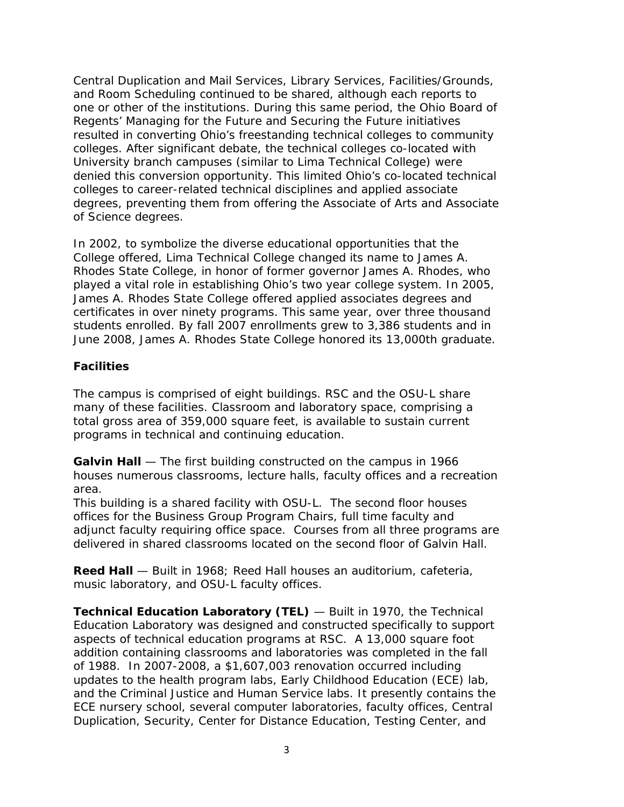Central Duplication and Mail Services, Library Services, Facilities/Grounds, and Room Scheduling continued to be shared, although each reports to one or other of the institutions. During this same period, the Ohio Board of Regents' *Managing for the Future and Securing the Future* initiatives resulted in converting Ohio's freestanding technical colleges to community colleges. After significant debate, the technical colleges co-located with University branch campuses (similar to Lima Technical College) were denied this conversion opportunity. This limited Ohio's co-located technical colleges to career-related technical disciplines and applied associate degrees, preventing them from offering the Associate of Arts and Associate of Science degrees.

In 2002, to symbolize the diverse educational opportunities that the College offered, Lima Technical College changed its name to James A. Rhodes State College, in honor of former governor James A. Rhodes, who played a vital role in establishing Ohio's two year college system. In 2005, James A. Rhodes State College offered applied associates degrees and certificates in over ninety programs. This same year, over three thousand students enrolled. By fall 2007 enrollments grew to 3,386 students and in June 2008, James A. Rhodes State College honored its 13,000th graduate.

## **Facilities**

The campus is comprised of eight buildings. RSC and the OSU-L share many of these facilities. Classroom and laboratory space, comprising a total gross area of 359,000 square feet, is available to sustain current programs in technical and continuing education.

**Galvin Hall** — The first building constructed on the campus in 1966 houses numerous classrooms, lecture halls, faculty offices and a recreation area.

This building is a shared facility with OSU-L. The second floor houses offices for the Business Group Program Chairs, full time faculty and adjunct faculty requiring office space. Courses from all three programs are delivered in shared classrooms located on the second floor of Galvin Hall.

**Reed Hall** — Built in 1968; Reed Hall houses an auditorium, cafeteria, music laboratory, and OSU-L faculty offices.

**Technical Education Laboratory (TEL)** — Built in 1970, the Technical Education Laboratory was designed and constructed specifically to support aspects of technical education programs at RSC. A 13,000 square foot addition containing classrooms and laboratories was completed in the fall of 1988. In 2007-2008, a \$1,607,003 renovation occurred including updates to the health program labs, Early Childhood Education (ECE) lab, and the Criminal Justice and Human Service labs. It presently contains the ECE nursery school, several computer laboratories, faculty offices, Central Duplication, Security, Center for Distance Education, Testing Center, and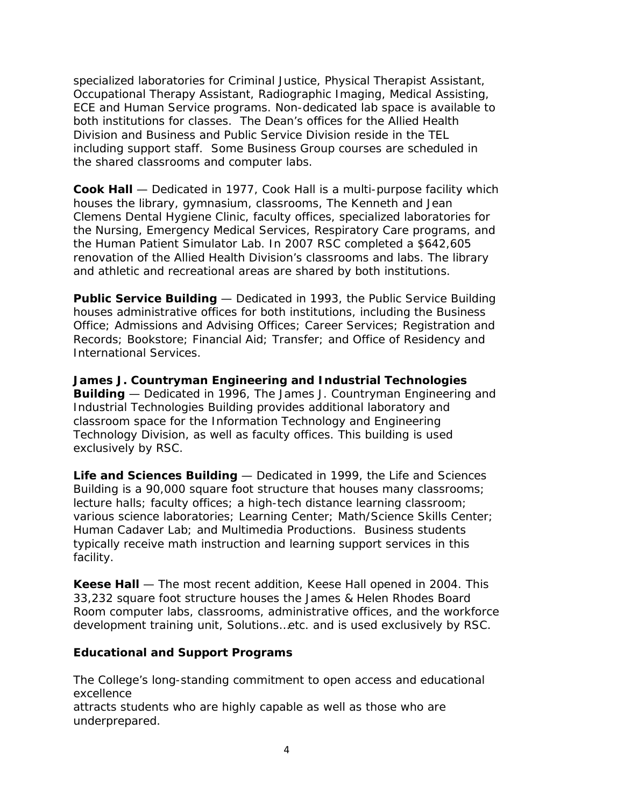specialized laboratories for Criminal Justice, Physical Therapist Assistant, Occupational Therapy Assistant, Radiographic Imaging, Medical Assisting, ECE and Human Service programs. Non-dedicated lab space is available to both institutions for classes. The Dean's offices for the Allied Health Division and Business and Public Service Division reside in the TEL including support staff. Some Business Group courses are scheduled in the shared classrooms and computer labs.

**Cook Hall** — Dedicated in 1977, Cook Hall is a multi-purpose facility which houses the library, gymnasium, classrooms, The Kenneth and Jean Clemens Dental Hygiene Clinic, faculty offices, specialized laboratories for the Nursing, Emergency Medical Services, Respiratory Care programs, and the Human Patient Simulator Lab. In 2007 RSC completed a \$642,605 renovation of the Allied Health Division's classrooms and labs. The library and athletic and recreational areas are shared by both institutions.

**Public Service Building** — Dedicated in 1993, the Public Service Building houses administrative offices for both institutions, including the Business Office; Admissions and Advising Offices; Career Services; Registration and Records; Bookstore; Financial Aid; Transfer; and Office of Residency and International Services.

**James J. Countryman Engineering and Industrial Technologies Building** — Dedicated in 1996, The James J. Countryman Engineering and Industrial Technologies Building provides additional laboratory and classroom space for the Information Technology and Engineering Technology Division, as well as faculty offices. This building is used exclusively by RSC.

**Life and Sciences Building** — Dedicated in 1999, the Life and Sciences Building is a 90,000 square foot structure that houses many classrooms; lecture halls; faculty offices; a high-tech distance learning classroom; various science laboratories; Learning Center; Math/Science Skills Center; Human Cadaver Lab; and Multimedia Productions. Business students typically receive math instruction and learning support services in this facility.

**Keese Hall** — The most recent addition, Keese Hall opened in 2004. This 33,232 square foot structure houses the James & Helen Rhodes Board Room computer labs, classrooms, administrative offices, and the workforce development training unit, Solutions…etc. and is used exclusively by RSC.

### **Educational and Support Programs**

The College's long-standing commitment to open access and educational excellence

attracts students who are highly capable as well as those who are underprepared.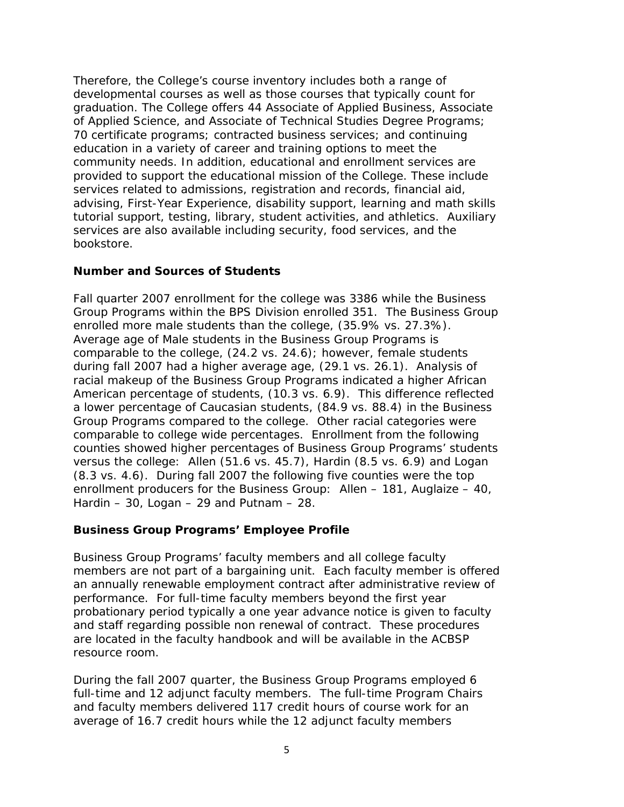Therefore, the College's course inventory includes both a range of developmental courses as well as those courses that typically count for graduation. The College offers 44 Associate of Applied Business, Associate of Applied Science, and Associate of Technical Studies Degree Programs; 70 certificate programs; contracted business services; and continuing education in a variety of career and training options to meet the community needs. In addition, educational and enrollment services are provided to support the educational mission of the College. These include services related to admissions, registration and records, financial aid, advising, First-Year Experience, disability support, learning and math skills tutorial support, testing, library, student activities, and athletics. Auxiliary services are also available including security, food services, and the bookstore.

## **Number and Sources of Students**

Fall quarter 2007 enrollment for the college was 3386 while the Business Group Programs within the BPS Division enrolled 351. The Business Group enrolled more male students than the college, (35.9% vs. 27.3%). Average age of Male students in the Business Group Programs is comparable to the college, (24.2 vs. 24.6); however, female students during fall 2007 had a higher average age, (29.1 vs. 26.1). Analysis of racial makeup of the Business Group Programs indicated a higher African American percentage of students, (10.3 vs. 6.9). This difference reflected a lower percentage of Caucasian students, (84.9 vs. 88.4) in the Business Group Programs compared to the college. Other racial categories were comparable to college wide percentages. Enrollment from the following counties showed higher percentages of Business Group Programs' students versus the college: Allen (51.6 vs. 45.7), Hardin (8.5 vs. 6.9) and Logan (8.3 vs. 4.6). During fall 2007 the following five counties were the top enrollment producers for the Business Group: Allen – 181, Auglaize – 40, Hardin – 30, Logan – 29 and Putnam – 28.

### **Business Group Programs' Employee Profile**

Business Group Programs' faculty members and all college faculty members are not part of a bargaining unit. Each faculty member is offered an annually renewable employment contract after administrative review of performance. For full-time faculty members beyond the first year probationary period typically a one year advance notice is given to faculty and staff regarding possible non renewal of contract. These procedures are located in the faculty handbook and will be available in the ACBSP resource room.

During the fall 2007 quarter, the Business Group Programs employed 6 full-time and 12 adjunct faculty members. The full-time Program Chairs and faculty members delivered 117 credit hours of course work for an average of 16.7 credit hours while the 12 adjunct faculty members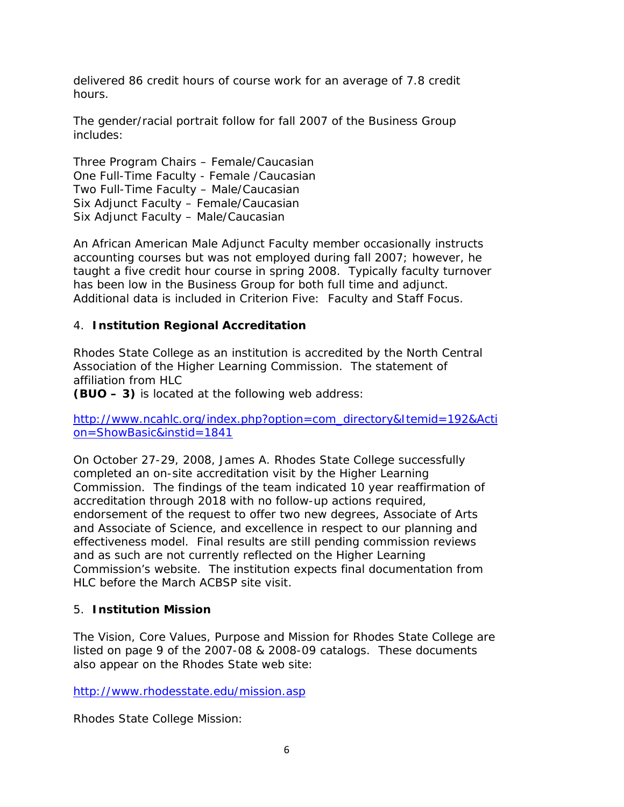delivered 86 credit hours of course work for an average of 7.8 credit hours.

The gender/racial portrait follow for fall 2007 of the Business Group includes:

Three Program Chairs – Female/Caucasian One Full-Time Faculty - Female /Caucasian Two Full-Time Faculty – Male/Caucasian Six Adjunct Faculty – Female/Caucasian Six Adjunct Faculty – Male/Caucasian

An African American Male Adjunct Faculty member occasionally instructs accounting courses but was not employed during fall 2007; however, he taught a five credit hour course in spring 2008. Typically faculty turnover has been low in the Business Group for both full time and adjunct. Additional data is included in Criterion Five: Faculty and Staff Focus.

## 4. **Institution Regional Accreditation**

Rhodes State College as an institution is accredited by the North Central Association of the Higher Learning Commission. The statement of affiliation from HLC

**(BUO – 3)** is located at the following web address:

http://www.ncahlc.org/index.php?option=com\_directory&Itemid=192&Acti on=ShowBasic&instid=1841

On October 27-29, 2008, James A. Rhodes State College successfully completed an on-site accreditation visit by the Higher Learning Commission. The findings of the team indicated 10 year reaffirmation of accreditation through 2018 with no follow-up actions required, endorsement of the request to offer two new degrees, Associate of Arts and Associate of Science, and excellence in respect to our planning and effectiveness model. Final results are still pending commission reviews and as such are not currently reflected on the Higher Learning Commission's website. The institution expects final documentation from HLC before the March ACBSP site visit.

### 5. **Institution Mission**

The Vision, Core Values, Purpose and Mission for Rhodes State College are listed on page 9 of the 2007-08 & 2008-09 catalogs. These documents also appear on the Rhodes State web site:

http://www.rhodesstate.edu/mission.asp

Rhodes State College Mission: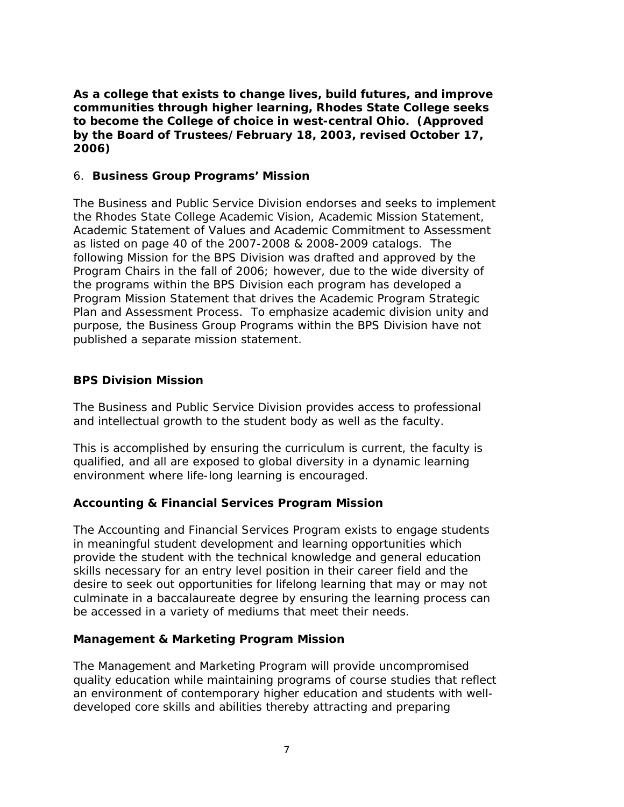## *As a college that exists to change lives, build futures, and improve communities through higher learning, Rhodes State College seeks to become the College of choice in west-central Ohio. (Approved by the Board of Trustees/February 18, 2003, revised October 17, 2006)*

### 6. **Business Group Programs' Mission**

The Business and Public Service Division endorses and seeks to implement the Rhodes State College Academic Vision, Academic Mission Statement, Academic Statement of Values and Academic Commitment to Assessment as listed on page 40 of the 2007-2008 & 2008-2009 catalogs. The following Mission for the BPS Division was drafted and approved by the Program Chairs in the fall of 2006; however, due to the wide diversity of the programs within the BPS Division each program has developed a Program Mission Statement that drives the Academic Program Strategic Plan and Assessment Process. To emphasize academic division unity and purpose, the Business Group Programs within the BPS Division have not published a separate mission statement.

## **BPS Division Mission**

*The Business and Public Service Division provides access to professional and intellectual growth to the student body as well as the faculty.* 

*This is accomplished by ensuring the curriculum is current, the faculty is qualified, and all are exposed to global diversity in a dynamic learning environment where life-long learning is encouraged.*

## **Accounting & Financial Services Program Mission**

*The Accounting and Financial Services Program exists to engage students in meaningful student development and learning opportunities which provide the student with the technical knowledge and general education skills necessary for an entry level position in their career field and the desire to seek out opportunities for lifelong learning that may or may not culminate in a baccalaureate degree by ensuring the learning process can be accessed in a variety of mediums that meet their needs.*

### **Management & Marketing Program Mission**

*The Management and Marketing Program will provide uncompromised quality education while maintaining programs of course studies that reflect an environment of contemporary higher education and students with welldeveloped core skills and abilities thereby attracting and preparing*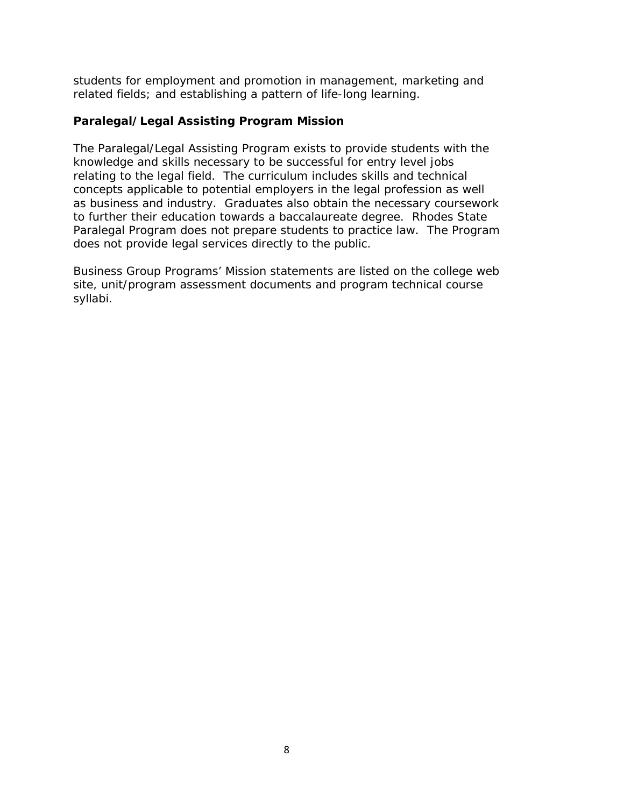*students for employment and promotion in management, marketing and related fields; and establishing a pattern of life-long learning.*

### **Paralegal/Legal Assisting Program Mission**

*The Paralegal/Legal Assisting Program exists to provide students with the knowledge and skills necessary to be successful for entry level jobs relating to the legal field. The curriculum includes skills and technical concepts applicable to potential employers in the legal profession as well as business and industry. Graduates also obtain the necessary coursework to further their education towards a baccalaureate degree. Rhodes State Paralegal Program does not prepare students to practice law. The Program does not provide legal services directly to the public.*

Business Group Programs' Mission statements are listed on the college web site, unit/program assessment documents and program technical course syllabi.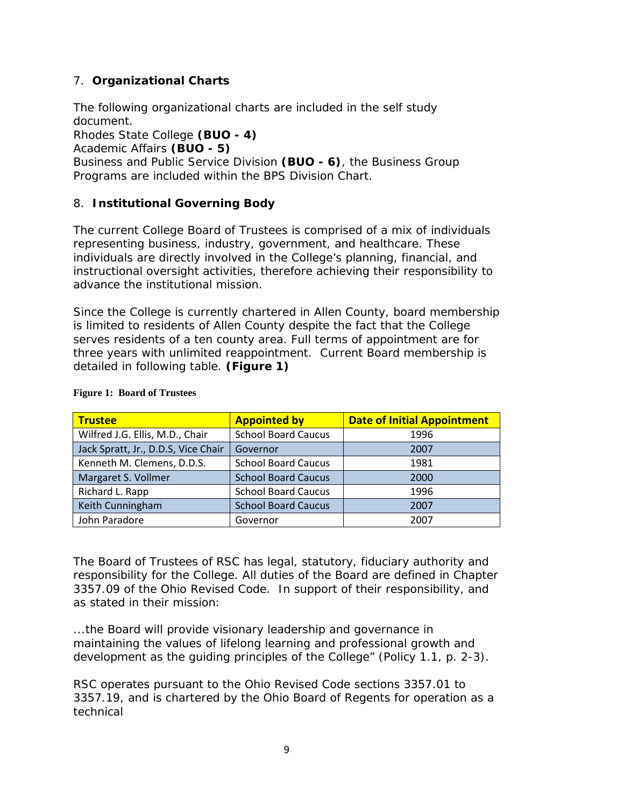# 7. **Organizational Charts**

The following organizational charts are included in the self study document.

Rhodes State College **(BUO - 4)**

Academic Affairs **(BUO - 5)**

Business and Public Service Division **(BUO - 6)**, the Business Group Programs are included within the BPS Division Chart.

## 8. **Institutional Governing Body**

The current College Board of Trustees is comprised of a mix of individuals representing business, industry, government, and healthcare. These individuals are directly involved in the College's planning, financial, and instructional oversight activities, therefore achieving their responsibility to advance the institutional mission.

Since the College is currently chartered in Allen County, board membership is limited to residents of Allen County despite the fact that the College serves residents of a ten county area. Full terms of appointment are for three years with unlimited reappointment. Current Board membership is detailed in following table. **(Figure 1)**

| <b>Trustee</b>                      | <b>Appointed by</b>        | <b>Date of Initial Appointment</b> |  |
|-------------------------------------|----------------------------|------------------------------------|--|
| Wilfred J.G. Ellis, M.D., Chair     | <b>School Board Caucus</b> | 1996                               |  |
| Jack Spratt, Jr., D.D.S, Vice Chair | Governor                   | 2007                               |  |
| Kenneth M. Clemens, D.D.S.          | <b>School Board Caucus</b> | 1981                               |  |
| Margaret S. Vollmer                 | <b>School Board Caucus</b> | 2000                               |  |
| Richard L. Rapp                     | <b>School Board Caucus</b> | 1996                               |  |
| Keith Cunningham                    | <b>School Board Caucus</b> | 2007                               |  |
| John Paradore                       | Governor                   | 2007                               |  |

#### **Figure 1: Board of Trustees**

The Board of Trustees of RSC has legal, statutory, fiduciary authority and responsibility for the College. All duties of the Board are defined in Chapter 3357.09 of the Ohio Revised Code. In support of their responsibility, and as stated in their mission:

*...the Board will provide visionary leadership and governance in maintaining the values of lifelong learning and professional growth and development as the guiding principles of the College" (Policy 1.1, p. 2-3).*

RSC operates pursuant to the Ohio Revised Code sections 3357.01 to 3357.19, and is chartered by the Ohio Board of Regents for operation as a technical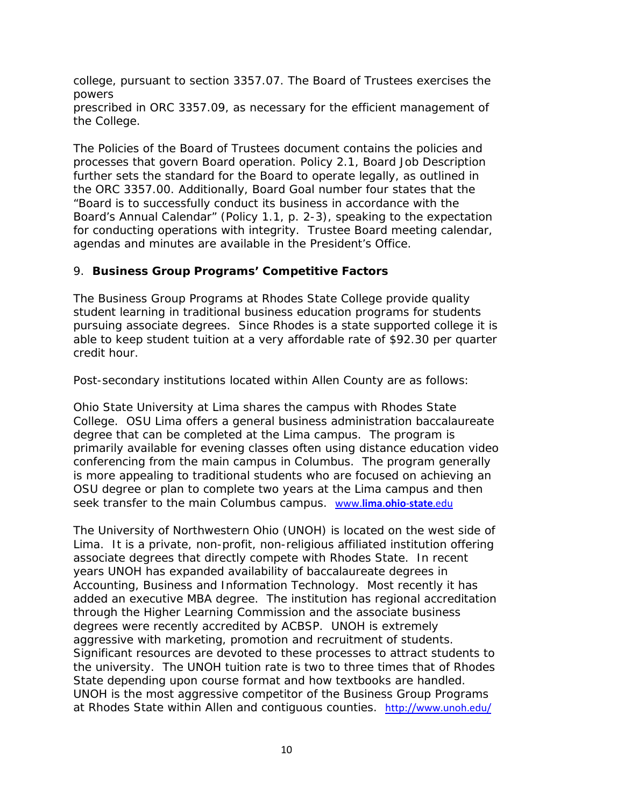college, pursuant to section 3357.07. The Board of Trustees exercises the powers prescribed in ORC 3357.09, as necessary for the efficient management of the College.

The Policies of the Board of Trustees document contains the policies and processes that govern Board operation. Policy 2.1, Board Job Description further sets the standard for the Board to operate legally, as outlined in the ORC 3357.00. Additionally, Board Goal number four states that the "Board is to successfully conduct its business in accordance with the Board's Annual Calendar" (Policy 1.1, p. 2-3), speaking to the expectation for conducting operations with integrity. Trustee Board meeting calendar, agendas and minutes are available in the President's Office.

## 9. **Business Group Programs' Competitive Factors**

The Business Group Programs at Rhodes State College provide quality student learning in traditional business education programs for students pursuing associate degrees. Since Rhodes is a state supported college it is able to keep student tuition at a very affordable rate of \$92.30 per quarter credit hour.

Post-secondary institutions located within Allen County are as follows:

Ohio State University at Lima shares the campus with Rhodes State College. OSU Lima offers a general business administration baccalaureate degree that can be completed at the Lima campus. The program is primarily available for evening classes often using distance education video conferencing from the main campus in Columbus. The program generally is more appealing to traditional students who are focused on achieving an OSU degree or plan to complete two years at the Lima campus and then seek transfer to the main Columbus campus. www.**lima**.**ohio**-**state**.edu

The University of Northwestern Ohio (UNOH) is located on the west side of Lima. It is a private, non-profit, non-religious affiliated institution offering associate degrees that directly compete with Rhodes State. In recent years UNOH has expanded availability of baccalaureate degrees in Accounting, Business and Information Technology. Most recently it has added an executive MBA degree. The institution has regional accreditation through the Higher Learning Commission and the associate business degrees were recently accredited by ACBSP. UNOH is extremely aggressive with marketing, promotion and recruitment of students. Significant resources are devoted to these processes to attract students to the university. The UNOH tuition rate is two to three times that of Rhodes State depending upon course format and how textbooks are handled. UNOH is the most aggressive competitor of the Business Group Programs at Rhodes State within Allen and contiguous counties. http://www.unoh.edu/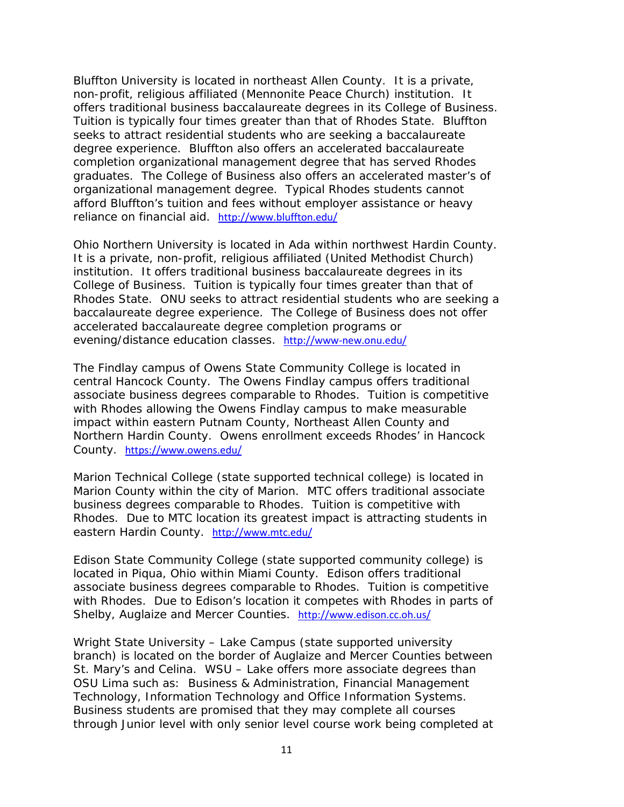Bluffton University is located in northeast Allen County. It is a private, non-profit, religious affiliated (Mennonite Peace Church) institution. It offers traditional business baccalaureate degrees in its College of Business. Tuition is typically four times greater than that of Rhodes State. Bluffton seeks to attract residential students who are seeking a baccalaureate degree experience. Bluffton also offers an accelerated baccalaureate completion organizational management degree that has served Rhodes graduates. The College of Business also offers an accelerated master's of organizational management degree. Typical Rhodes students cannot afford Bluffton's tuition and fees without employer assistance or heavy reliance on financial aid. http://www.bluffton.edu/

Ohio Northern University is located in Ada within northwest Hardin County. It is a private, non-profit, religious affiliated (United Methodist Church) institution. It offers traditional business baccalaureate degrees in its College of Business. Tuition is typically four times greater than that of Rhodes State. ONU seeks to attract residential students who are seeking a baccalaureate degree experience. The College of Business does not offer accelerated baccalaureate degree completion programs or evening/distance education classes. http://www-new.onu.edu/

The Findlay campus of Owens State Community College is located in central Hancock County. The Owens Findlay campus offers traditional associate business degrees comparable to Rhodes. Tuition is competitive with Rhodes allowing the Owens Findlay campus to make measurable impact within eastern Putnam County, Northeast Allen County and Northern Hardin County. Owens enrollment exceeds Rhodes' in Hancock County. https://www.owens.edu/

Marion Technical College (state supported technical college) is located in Marion County within the city of Marion. MTC offers traditional associate business degrees comparable to Rhodes. Tuition is competitive with Rhodes. Due to MTC location its greatest impact is attracting students in eastern Hardin County. http://www.mtc.edu/

Edison State Community College (state supported community college) is located in Piqua, Ohio within Miami County. Edison offers traditional associate business degrees comparable to Rhodes. Tuition is competitive with Rhodes. Due to Edison's location it competes with Rhodes in parts of Shelby, Auglaize and Mercer Counties. http://www.edison.cc.oh.us/

Wright State University – Lake Campus (state supported university branch) is located on the border of Auglaize and Mercer Counties between St. Mary's and Celina. WSU – Lake offers more associate degrees than OSU Lima such as: Business & Administration, Financial Management Technology, Information Technology and Office Information Systems. Business students are promised that they may complete all courses through Junior level with only senior level course work being completed at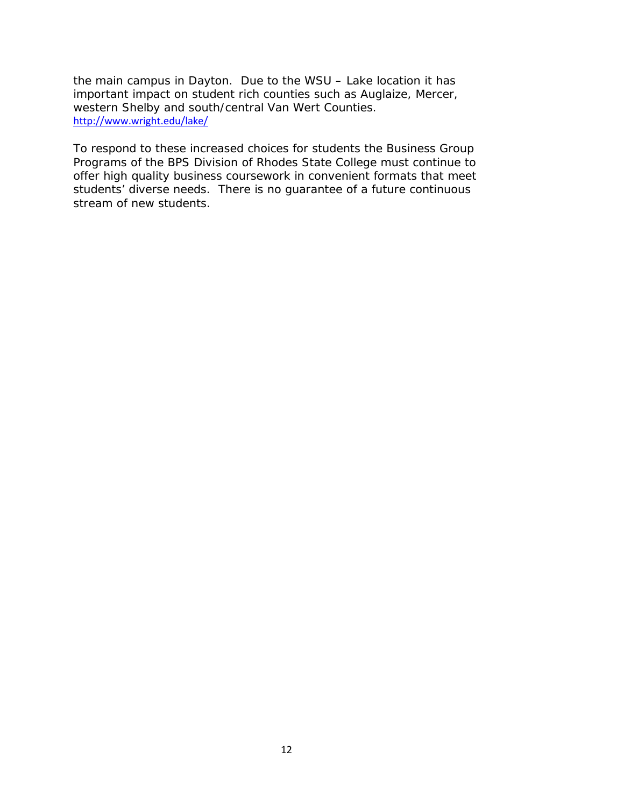the main campus in Dayton. Due to the WSU – Lake location it has important impact on student rich counties such as Auglaize, Mercer, western Shelby and south/central Van Wert Counties. http://www.wright.edu/lake/

To respond to these increased choices for students the Business Group Programs of the BPS Division of Rhodes State College must continue to offer high quality business coursework in convenient formats that meet students' diverse needs. There is no guarantee of a future continuous stream of new students.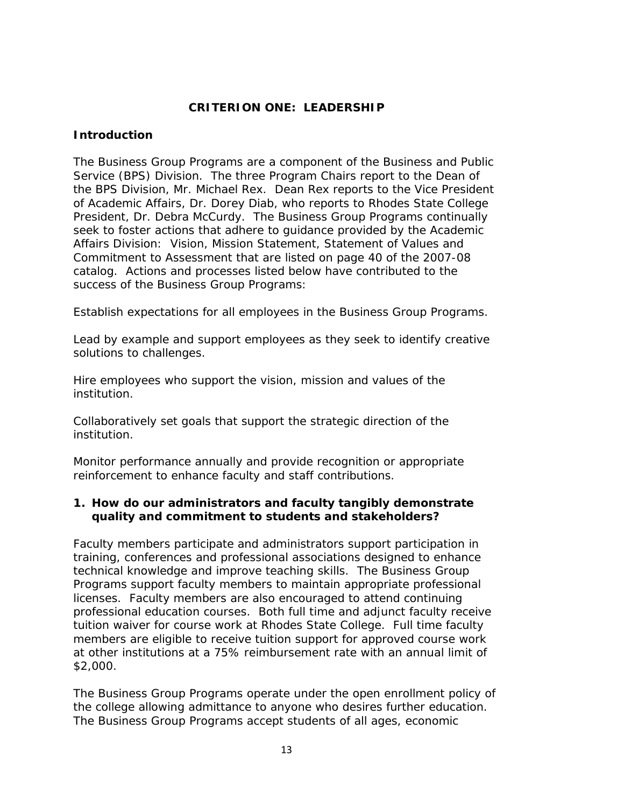## **CRITERION ONE: LEADERSHIP**

#### **Introduction**

The Business Group Programs are a component of the Business and Public Service (BPS) Division. The three Program Chairs report to the Dean of the BPS Division, Mr. Michael Rex. Dean Rex reports to the Vice President of Academic Affairs, Dr. Dorey Diab, who reports to Rhodes State College President, Dr. Debra McCurdy. The Business Group Programs continually seek to foster actions that adhere to guidance provided by the Academic Affairs Division: Vision, Mission Statement, Statement of Values and Commitment to Assessment that are listed on page 40 of the 2007-08 catalog. Actions and processes listed below have contributed to the success of the Business Group Programs:

Establish expectations for all employees in the Business Group Programs.

Lead by example and support employees as they seek to identify creative solutions to challenges.

Hire employees who support the vision, mission and values of the institution.

Collaboratively set goals that support the strategic direction of the institution.

Monitor performance annually and provide recognition or appropriate reinforcement to enhance faculty and staff contributions.

## **1. How do our administrators and faculty tangibly demonstrate quality and commitment to students and stakeholders?**

Faculty members participate and administrators support participation in training, conferences and professional associations designed to enhance technical knowledge and improve teaching skills. The Business Group Programs support faculty members to maintain appropriate professional licenses. Faculty members are also encouraged to attend continuing professional education courses. Both full time and adjunct faculty receive tuition waiver for course work at Rhodes State College. Full time faculty members are eligible to receive tuition support for approved course work at other institutions at a 75% reimbursement rate with an annual limit of \$2,000.

The Business Group Programs operate under the open enrollment policy of the college allowing admittance to anyone who desires further education. The Business Group Programs accept students of all ages, economic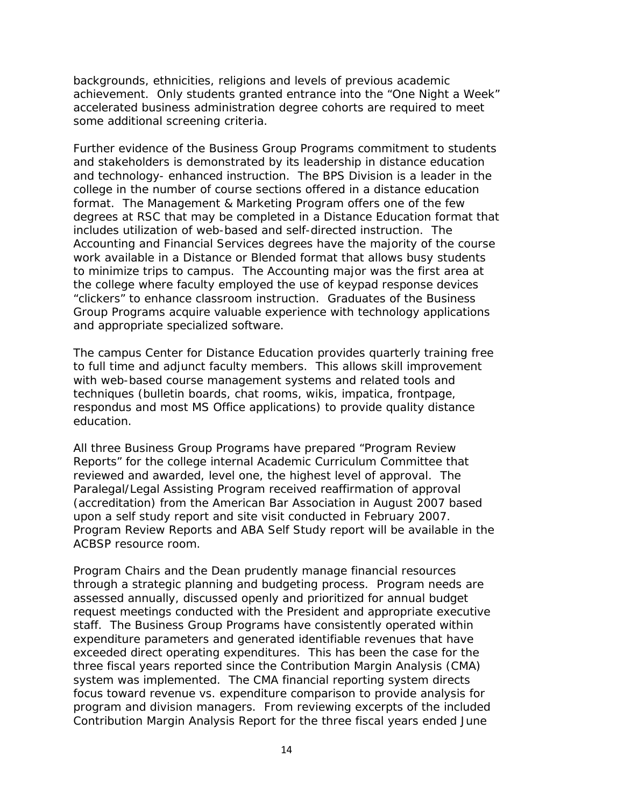backgrounds, ethnicities, religions and levels of previous academic achievement. Only students granted entrance into the "One Night a Week" accelerated business administration degree cohorts are required to meet some additional screening criteria.

Further evidence of the Business Group Programs commitment to students and stakeholders is demonstrated by its leadership in distance education and technology- enhanced instruction. The BPS Division is a leader in the college in the number of course sections offered in a distance education format. The Management & Marketing Program offers one of the few degrees at RSC that may be completed in a Distance Education format that includes utilization of web-based and self-directed instruction. The Accounting and Financial Services degrees have the majority of the course work available in a Distance or Blended format that allows busy students to minimize trips to campus. The Accounting major was the first area at the college where faculty employed the use of keypad response devices "clickers" to enhance classroom instruction. Graduates of the Business Group Programs acquire valuable experience with technology applications and appropriate specialized software.

The campus Center for Distance Education provides quarterly training free to full time and adjunct faculty members. This allows skill improvement with web-based course management systems and related tools and techniques (bulletin boards, chat rooms, wikis, impatica, frontpage, respondus and most MS Office applications) to provide quality distance education.

All three Business Group Programs have prepared "Program Review Reports" for the college internal Academic Curriculum Committee that reviewed and awarded, level one, the highest level of approval. The Paralegal/Legal Assisting Program received reaffirmation of approval (accreditation) from the American Bar Association in August 2007 based upon a self study report and site visit conducted in February 2007. Program Review Reports and ABA Self Study report will be available in the ACBSP resource room.

Program Chairs and the Dean prudently manage financial resources through a strategic planning and budgeting process. Program needs are assessed annually, discussed openly and prioritized for annual budget request meetings conducted with the President and appropriate executive staff. The Business Group Programs have consistently operated within expenditure parameters and generated identifiable revenues that have exceeded direct operating expenditures. This has been the case for the three fiscal years reported since the Contribution Margin Analysis (CMA) system was implemented. The CMA financial reporting system directs focus toward revenue vs. expenditure comparison to provide analysis for program and division managers. From reviewing excerpts of the included Contribution Margin Analysis Report for the three fiscal years ended June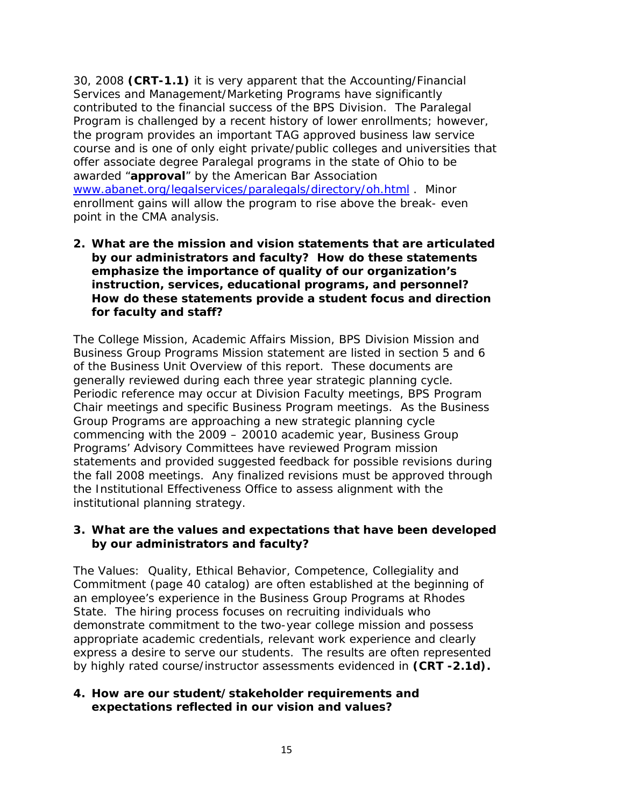30, 2008 **(CRT-1.1)** it is very apparent that the Accounting/Financial Services and Management/Marketing Programs have significantly contributed to the financial success of the BPS Division. The Paralegal Program is challenged by a recent history of lower enrollments; however, the program provides an important TAG approved business law service course and is one of only eight private/public colleges and universities that offer associate degree Paralegal programs in the state of Ohio to be awarded "**approval**" by the American Bar Association www.abanet.org/legalservices/paralegals/directory/oh.html . Minor enrollment gains will allow the program to rise above the break- even point in the CMA analysis.

**2. What are the mission and vision statements that are articulated by our administrators and faculty? How do these statements emphasize the importance of quality of our organization's instruction, services, educational programs, and personnel? How do these statements provide a student focus and direction for faculty and staff?**

The College Mission, Academic Affairs Mission, BPS Division Mission and Business Group Programs Mission statement are listed in section 5 and 6 of the Business Unit Overview of this report. These documents are generally reviewed during each three year strategic planning cycle. Periodic reference may occur at Division Faculty meetings, BPS Program Chair meetings and specific Business Program meetings. As the Business Group Programs are approaching a new strategic planning cycle commencing with the 2009 – 20010 academic year, Business Group Programs' Advisory Committees have reviewed Program mission statements and provided suggested feedback for possible revisions during the fall 2008 meetings. Any finalized revisions must be approved through the Institutional Effectiveness Office to assess alignment with the institutional planning strategy.

### **3. What are the values and expectations that have been developed by our administrators and faculty?**

The Values: Quality, Ethical Behavior, Competence, Collegiality and Commitment (page 40 catalog) are often established at the beginning of an employee's experience in the Business Group Programs at Rhodes State. The hiring process focuses on recruiting individuals who demonstrate commitment to the two-year college mission and possess appropriate academic credentials, relevant work experience and clearly express a desire to serve our students. The results are often represented by highly rated course/instructor assessments evidenced in **(CRT -2.1d).**

### **4. How are our student/stakeholder requirements and expectations reflected in our vision and values?**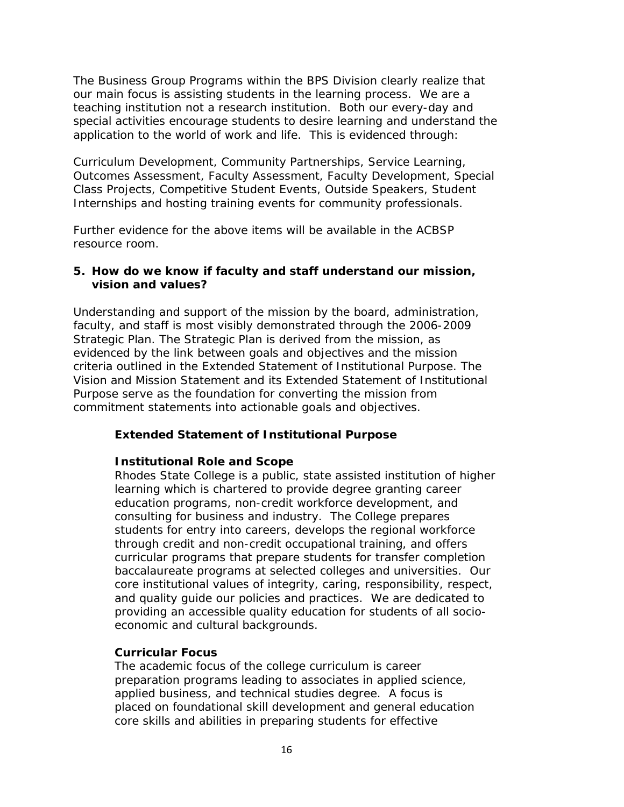The Business Group Programs within the BPS Division clearly realize that our main focus is assisting students in the learning process. We are a teaching institution not a research institution. Both our every-day and special activities encourage students to desire learning and understand the application to the world of work and life. This is evidenced through:

Curriculum Development, Community Partnerships, Service Learning, Outcomes Assessment, Faculty Assessment, Faculty Development, Special Class Projects, Competitive Student Events, Outside Speakers, Student Internships and hosting training events for community professionals.

Further evidence for the above items will be available in the ACBSP resource room.

## **5. How do we know if faculty and staff understand our mission, vision and values?**

Understanding and support of the mission by the board, administration, faculty, and staff is most visibly demonstrated through the 2006-2009 Strategic Plan. The Strategic Plan is derived from the mission, as evidenced by the link between goals and objectives and the mission criteria outlined in the Extended Statement of Institutional Purpose. The Vision and Mission Statement and its Extended Statement of Institutional Purpose serve as the foundation for converting the mission from commitment statements into actionable goals and objectives.

### *Extended Statement of Institutional Purpose*

### *Institutional Role and Scope*

*Rhodes State College is a public, state assisted institution of higher learning which is chartered to provide degree granting career education programs, non-credit workforce development, and consulting for business and industry. The College prepares students for entry into careers, develops the regional workforce through credit and non-credit occupational training, and offers curricular programs that prepare students for transfer completion baccalaureate programs at selected colleges and universities. Our core institutional values of integrity, caring, responsibility, respect, and quality guide our policies and practices. We are dedicated to providing an accessible quality education for students of all socioeconomic and cultural backgrounds.*

### *Curricular Focus*

*The academic focus of the college curriculum is career preparation programs leading to associates in applied science, applied business, and technical studies degree. A focus is placed on foundational skill development and general education core skills and abilities in preparing students for effective*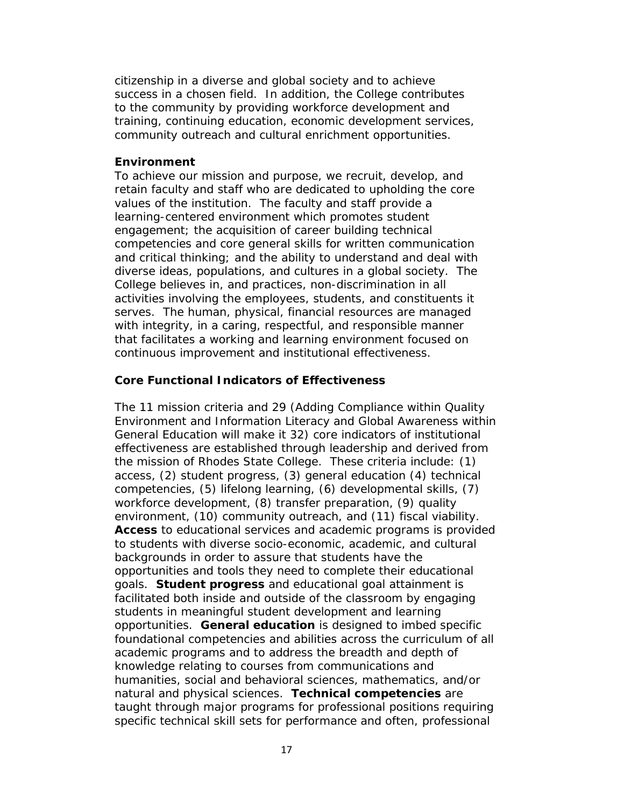*citizenship in a diverse and global society and to achieve success in a chosen field. In addition, the College contributes to the community by providing workforce development and training, continuing education, economic development services, community outreach and cultural enrichment opportunities.*

#### *Environment*

*To achieve our mission and purpose, we recruit, develop, and retain faculty and staff who are dedicated to upholding the core values of the institution. The faculty and staff provide a learning-centered environment which promotes student engagement; the acquisition of career building technical competencies and core general skills for written communication and critical thinking; and the ability to understand and deal with diverse ideas, populations, and cultures in a global society. The College believes in, and practices, non-discrimination in all activities involving the employees, students, and constituents it serves. The human, physical, financial resources are managed with integrity, in a caring, respectful, and responsible manner that facilitates a working and learning environment focused on continuous improvement and institutional effectiveness.*

#### *Core Functional Indicators of Effectiveness*

*The 11 mission criteria and 29 (Adding Compliance within Quality Environment and Information Literacy and Global Awareness within General Education will make it 32) core indicators of institutional effectiveness are established through leadership and derived from the mission of Rhodes State College. These criteria include: (1) access, (2) student progress, (3) general education (4) technical competencies, (5) lifelong learning, (6) developmental skills, (7) workforce development, (8) transfer preparation, (9) quality environment, (10) community outreach, and (11) fiscal viability. Access to educational services and academic programs is provided to students with diverse socio-economic, academic, and cultural backgrounds in order to assure that students have the opportunities and tools they need to complete their educational goals. Student progress and educational goal attainment is facilitated both inside and outside of the classroom by engaging students in meaningful student development and learning opportunities. General education is designed to imbed specific foundational competencies and abilities across the curriculum of all academic programs and to address the breadth and depth of knowledge relating to courses from communications and humanities, social and behavioral sciences, mathematics, and/or natural and physical sciences. Technical competencies are taught through major programs for professional positions requiring specific technical skill sets for performance and often, professional*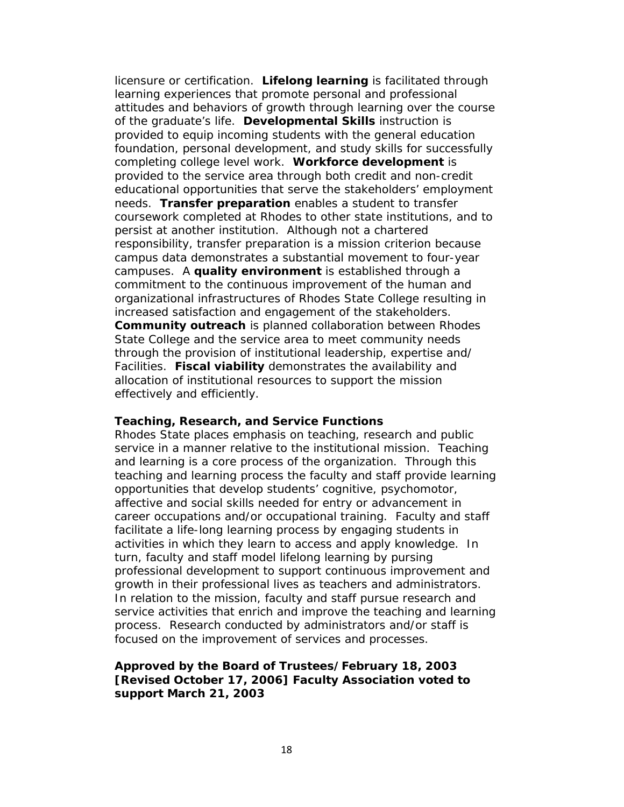*licensure or certification. Lifelong learning is facilitated through learning experiences that promote personal and professional attitudes and behaviors of growth through learning over the course of the graduate's life. Developmental Skills instruction is provided to equip incoming students with the general education foundation, personal development, and study skills for successfully completing college level work. Workforce development is provided to the service area through both credit and non-credit educational opportunities that serve the stakeholders' employment needs. Transfer preparation enables a student to transfer coursework completed at Rhodes to other state institutions, and to persist at another institution. Although not a chartered responsibility, transfer preparation is a mission criterion because campus data demonstrates a substantial movement to four-year campuses. A quality environment is established through a commitment to the continuous improvement of the human and organizational infrastructures of Rhodes State College resulting in increased satisfaction and engagement of the stakeholders. Community outreach is planned collaboration between Rhodes State College and the service area to meet community needs through the provision of institutional leadership, expertise and/ Facilities. Fiscal viability demonstrates the availability and allocation of institutional resources to support the mission effectively and efficiently.*

### *Teaching, Research, and Service Functions*

*Rhodes State places emphasis on teaching, research and public service in a manner relative to the institutional mission. Teaching and learning is a core process of the organization. Through this teaching and learning process the faculty and staff provide learning opportunities that develop students' cognitive, psychomotor, affective and social skills needed for entry or advancement in career occupations and/or occupational training. Faculty and staff facilitate a life-long learning process by engaging students in activities in which they learn to access and apply knowledge. In turn, faculty and staff model lifelong learning by pursing professional development to support continuous improvement and growth in their professional lives as teachers and administrators. In relation to the mission, faculty and staff pursue research and service activities that enrich and improve the teaching and learning process. Research conducted by administrators and/or staff is focused on the improvement of services and processes.*

#### *Approved by the Board of Trustees/February 18, 2003 [Revised October 17, 2006] Faculty Association voted to support March 21, 2003*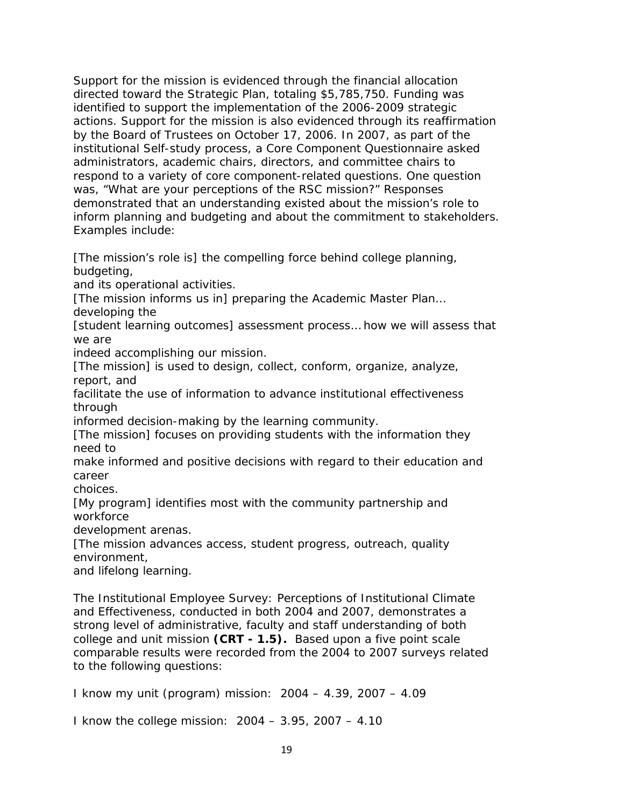Support for the mission is evidenced through the financial allocation directed toward the Strategic Plan, totaling \$5,785,750. Funding was identified to support the implementation of the 2006-2009 strategic actions. Support for the mission is also evidenced through its reaffirmation by the Board of Trustees on October 17, 2006. In 2007, as part of the institutional Self-study process, a Core Component Questionnaire asked administrators, academic chairs, directors, and committee chairs to respond to a variety of core component-related questions. One question was, "What are your perceptions of the RSC mission?" Responses demonstrated that an understanding existed about the mission's role to inform planning and budgeting and about the commitment to stakeholders. Examples include:

[The mission's role is] the compelling force behind college planning, budgeting,

and its operational activities.

[The mission informs us in] preparing the Academic Master Plan…

developing the

[student learning outcomes] assessment process… how we will assess that we are

indeed accomplishing our mission.

[The mission] is used to design, collect, conform, organize, analyze, report, and

facilitate the use of information to advance institutional effectiveness through

informed decision-making by the learning community.

[The mission] focuses on providing students with the information they need to

make informed and positive decisions with regard to their education and career

choices.

[My program] identifies most with the community partnership and workforce

development arenas.

[The mission advances access, student progress, outreach, quality environment,

and lifelong learning.

The Institutional Employee Survey: Perceptions of Institutional Climate and Effectiveness, conducted in both 2004 and 2007, demonstrates a strong level of administrative, faculty and staff understanding of both college and unit mission **(CRT - 1.5).** Based upon a five point scale comparable results were recorded from the 2004 to 2007 surveys related to the following questions:

I know my unit (program) mission: 2004 – 4.39, 2007 – 4.09

I know the college mission: 2004 – 3.95, 2007 – 4.10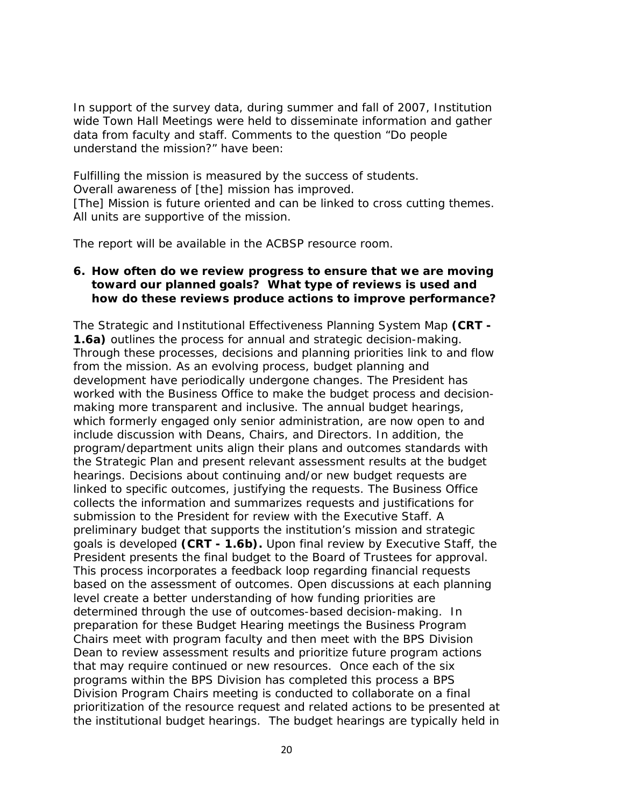In support of the survey data, during summer and fall of 2007, Institution wide Town Hall Meetings were held to disseminate information and gather data from faculty and staff. Comments to the question "Do people understand the mission?" have been:

Fulfilling the mission is measured by the success of students.

Overall awareness of [the] mission has improved.

[The] Mission is future oriented and can be linked to cross cutting themes. All units are supportive of the mission.

The report will be available in the ACBSP resource room.

## **6. How often do we review progress to ensure that we are moving toward our planned goals? What type of reviews is used and how do these reviews produce actions to improve performance?**

The Strategic and Institutional Effectiveness Planning System Map **(CRT - 1.6a)** outlines the process for annual and strategic decision-making. Through these processes, decisions and planning priorities link to and flow from the mission. As an evolving process, budget planning and development have periodically undergone changes. The President has worked with the Business Office to make the budget process and decisionmaking more transparent and inclusive. The annual budget hearings, which formerly engaged only senior administration, are now open to and include discussion with Deans, Chairs, and Directors. In addition, the program/department units align their plans and outcomes standards with the Strategic Plan and present relevant assessment results at the budget hearings. Decisions about continuing and/or new budget requests are linked to specific outcomes, justifying the requests. The Business Office collects the information and summarizes requests and justifications for submission to the President for review with the Executive Staff. A preliminary budget that supports the institution's mission and strategic goals is developed **(CRT - 1.6b).** Upon final review by Executive Staff, the President presents the final budget to the Board of Trustees for approval. This process incorporates a feedback loop regarding financial requests based on the assessment of outcomes. Open discussions at each planning level create a better understanding of how funding priorities are determined through the use of outcomes-based decision-making. In preparation for these Budget Hearing meetings the Business Program Chairs meet with program faculty and then meet with the BPS Division Dean to review assessment results and prioritize future program actions that may require continued or new resources. Once each of the six programs within the BPS Division has completed this process a BPS Division Program Chairs meeting is conducted to collaborate on a final prioritization of the resource request and related actions to be presented at the institutional budget hearings. The budget hearings are typically held in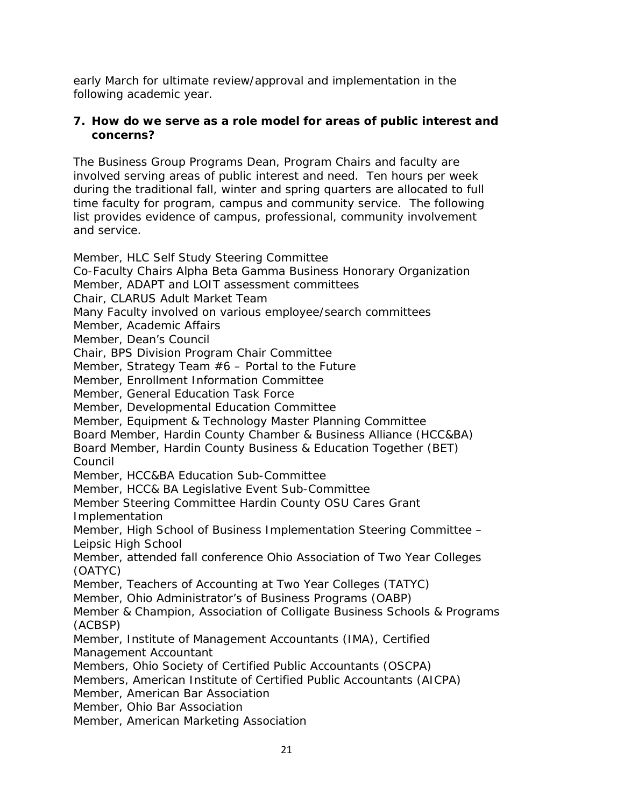early March for ultimate review/approval and implementation in the following academic year.

## **7. How do we serve as a role model for areas of public interest and concerns?**

The Business Group Programs Dean, Program Chairs and faculty are involved serving areas of public interest and need. Ten hours per week during the traditional fall, winter and spring quarters are allocated to full time faculty for program, campus and community service. The following list provides evidence of campus, professional, community involvement and service.

Member, HLC Self Study Steering Committee Co-Faculty Chairs Alpha Beta Gamma Business Honorary Organization Member, ADAPT and LOIT assessment committees Chair, CLARUS Adult Market Team Many Faculty involved on various employee/search committees Member, Academic Affairs Member, Dean's Council Chair, BPS Division Program Chair Committee Member, Strategy Team  $#6$  – Portal to the Future Member, Enrollment Information Committee Member, General Education Task Force Member, Developmental Education Committee Member, Equipment & Technology Master Planning Committee Board Member, Hardin County Chamber & Business Alliance (HCC&BA) Board Member, Hardin County Business & Education Together (BET) Council Member, HCC&BA Education Sub-Committee Member, HCC& BA Legislative Event Sub-Committee Member Steering Committee Hardin County OSU Cares Grant Implementation Member, High School of Business Implementation Steering Committee – Leipsic High School Member, attended fall conference Ohio Association of Two Year Colleges (OATYC) Member, Teachers of Accounting at Two Year Colleges (TATYC) Member, Ohio Administrator's of Business Programs (OABP) Member & Champion, Association of Colligate Business Schools & Programs (ACBSP) Member, Institute of Management Accountants (IMA), Certified Management Accountant Members, Ohio Society of Certified Public Accountants (OSCPA) Members, American Institute of Certified Public Accountants (AICPA) Member, American Bar Association Member, Ohio Bar Association Member, American Marketing Association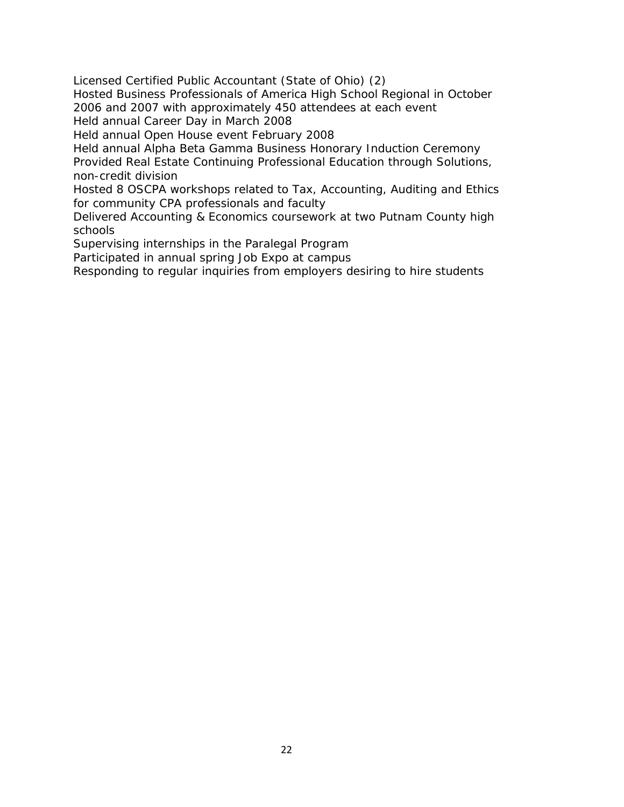Licensed Certified Public Accountant (State of Ohio) (2)

Hosted Business Professionals of America High School Regional in October 2006 and 2007 with approximately 450 attendees at each event

Held annual Career Day in March 2008

Held annual Open House event February 2008

Held annual Alpha Beta Gamma Business Honorary Induction Ceremony

Provided Real Estate Continuing Professional Education through Solutions, non-credit division

Hosted 8 OSCPA workshops related to Tax, Accounting, Auditing and Ethics for community CPA professionals and faculty

Delivered Accounting & Economics coursework at two Putnam County high schools

Supervising internships in the Paralegal Program

Participated in annual spring Job Expo at campus

Responding to regular inquiries from employers desiring to hire students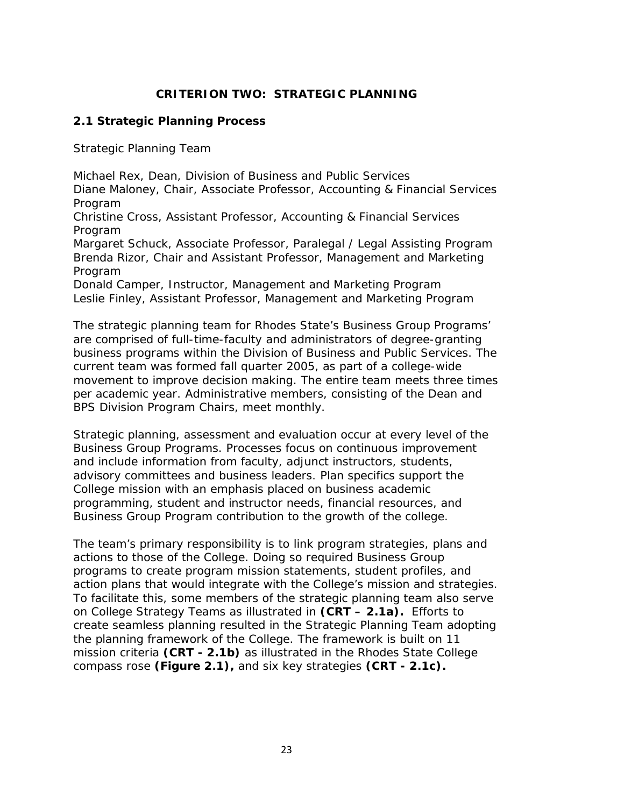## **CRITERION TWO: STRATEGIC PLANNING**

### **2.1 Strategic Planning Process**

Strategic Planning Team

Michael Rex, *Dean, Division of Business and Public Services* Diane Maloney, *Chair, Associate Professor, Accounting & Financial Services Program* Christine Cross, *Assistant Professor, Accounting & Financial Services Program* Margaret Schuck, *Associate Professor, Paralegal / Legal Assisting Prog*ram Brenda Rizor, *Chair and Assistant Professor, Management and Marketing Program* Donald Camper, *Instructor, Management and Marketing Progra*m Leslie Finley, *Assistant Professor, Management and Marketing Program*

The strategic planning team for Rhodes State's Business Group Programs' are comprised of full-time-faculty and administrators of degree-granting business programs within the Division of Business and Public Services. The current team was formed fall quarter 2005, as part of a college-wide movement to improve decision making. The entire team meets three times per academic year. Administrative members, consisting of the Dean and BPS Division Program Chairs, meet monthly.

Strategic planning, assessment and evaluation occur at every level of the Business Group Programs. Processes focus on continuous improvement and include information from faculty, adjunct instructors, students, advisory committees and business leaders. Plan specifics support the College mission with an emphasis placed on business academic programming, student and instructor needs, financial resources, and Business Group Program contribution to the growth of the college.

The team's primary responsibility is to link program strategies, plans and actions to those of the College. Doing so required Business Group programs to create program mission statements, student profiles, and action plans that would integrate with the College's mission and strategies. To facilitate this, some members of the strategic planning team also serve on College Strategy Teams as illustrated in **(CRT – 2.1a).** Efforts to create seamless planning resulted in the Strategic Planning Team adopting the planning framework of the College. The framework is built on 11 mission criteria **(CRT - 2.1b)** as illustrated in the Rhodes State College compass rose **(Figure 2.1),** and six key strategies **(CRT - 2.1c).**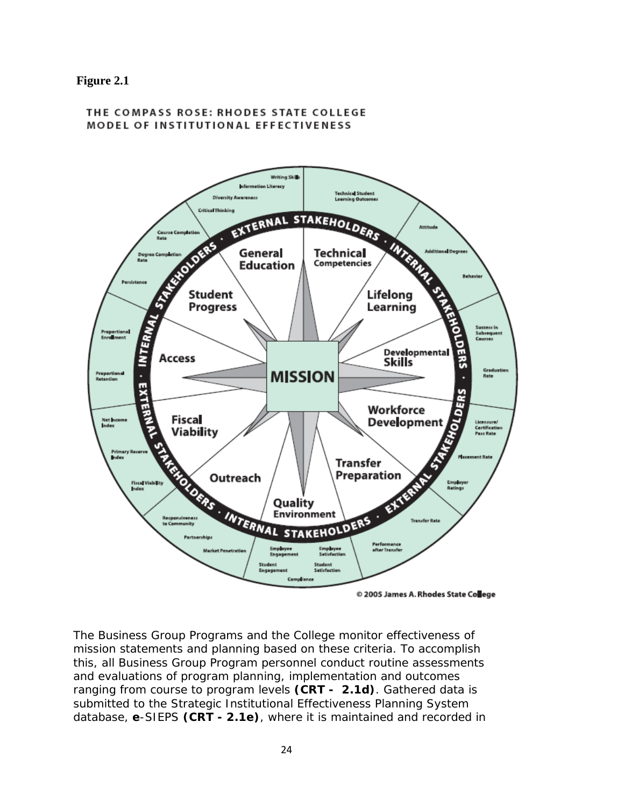#### **Figure 2.1**

#### THE COMPASS ROSE: RHODES STATE COLLEGE **MODEL OF INSTITUTIONAL EFFECTIVENESS**



© 2005 James A. Rhodes State College

The Business Group Programs and the College monitor effectiveness of mission statements and planning based on these criteria. To accomplish this, all Business Group Program personnel conduct routine assessments and evaluations of program planning, implementation and outcomes ranging from course to program levels **(CRT - 2.1d)**. Gathered data is submitted to the Strategic Institutional Effectiveness Planning System database, *e*-SIEPS **(CRT - 2.1e)**, where it is maintained and recorded in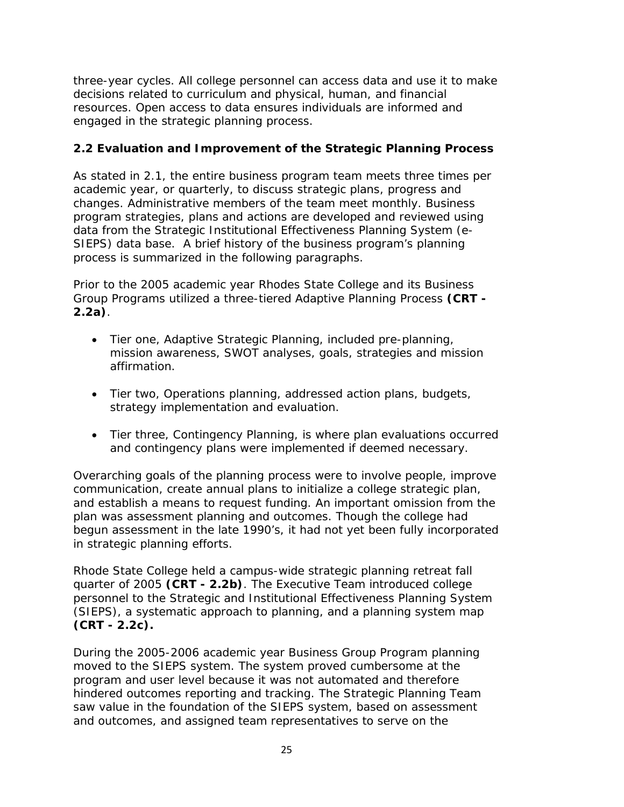three-year cycles. All college personnel can access data and use it to make decisions related to curriculum and physical, human, and financial resources. Open access to data ensures individuals are informed and engaged in the strategic planning process.

# **2.2 Evaluation and Improvement of the Strategic Planning Process**

As stated in 2.1, the entire business program team meets three times per academic year, or quarterly, to discuss strategic plans, progress and changes. Administrative members of the team meet monthly. Business program strategies, plans and actions are developed and reviewed using data from the Strategic Institutional Effectiveness Planning System (*e-SIEPS)* data base. A brief history of the business program's planning process is summarized in the following paragraphs.

Prior to the 2005 academic year Rhodes State College and its Business Group Programs utilized a three-tiered Adaptive Planning Process **(CRT - 2.2a)**.

- Tier one, Adaptive Strategic Planning, included pre-planning, mission awareness, SWOT analyses, goals, strategies and mission affirmation.
- Tier two, Operations planning, addressed action plans, budgets, strategy implementation and evaluation.
- Tier three, Contingency Planning, is where plan evaluations occurred and contingency plans were implemented if deemed necessary.

Overarching goals of the planning process were to involve people, improve communication, create annual plans to initialize a college strategic plan, and establish a means to request funding. An important omission from the plan was assessment planning and outcomes. Though the college had begun assessment in the late 1990's, it had not yet been fully incorporated in strategic planning efforts.

Rhode State College held a campus-wide strategic planning retreat fall quarter of 2005 **(CRT - 2.2b)**. The Executive Team introduced college personnel to the Strategic and Institutional Effectiveness Planning System (SIEPS), a systematic approach to planning, and a planning system map **(CRT - 2.2c).**

During the 2005-2006 academic year Business Group Program planning moved to the SIEPS system. The system proved cumbersome at the program and user level because it was not automated and therefore hindered outcomes reporting and tracking. The Strategic Planning Team saw value in the foundation of the SIEPS system, based on assessment and outcomes, and assigned team representatives to serve on the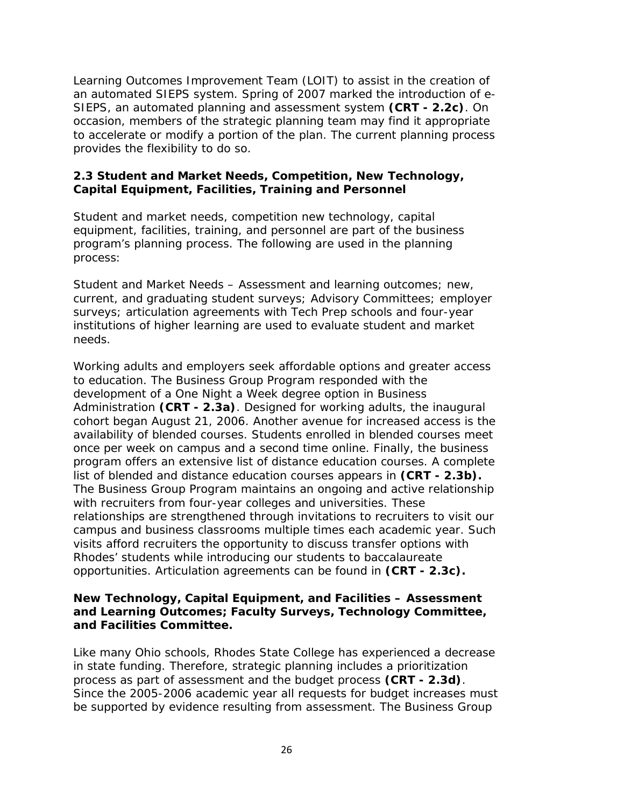Learning Outcomes Improvement Team (LOIT) to assist in the creation of an automated SIEPS system. Spring of 2007 marked the introduction of *e-SIEPS,* an automated planning and assessment system **(CRT - 2.2c)**. On occasion, members of the strategic planning team may find it appropriate to accelerate or modify a portion of the plan. The current planning process provides the flexibility to do so.

### **2.3 Student and Market Needs, Competition, New Technology, Capital Equipment, Facilities, Training and Personnel**

Student and market needs, competition new technology, capital equipment, facilities, training, and personnel are part of the business program's planning process. The following are used in the planning process:

Student and Market Needs – Assessment and learning outcomes; new, current, and graduating student surveys; Advisory Committees; employer surveys; articulation agreements with Tech Prep schools and four-year institutions of higher learning are used to evaluate student and market needs.

Working adults and employers seek affordable options and greater access to education. The Business Group Program responded with the development of a One Night a Week degree option in Business Administration **(CRT - 2.3a)**. Designed for working adults, the inaugural cohort began August 21, 2006. Another avenue for increased access is the availability of blended courses. Students enrolled in blended courses meet once per week on campus and a second time online. Finally, the business program offers an extensive list of distance education courses. A complete list of blended and distance education courses appears in **(CRT - 2.3b).** The Business Group Program maintains an ongoing and active relationship with recruiters from four-year colleges and universities. These relationships are strengthened through invitations to recruiters to visit our campus and business classrooms multiple times each academic year. Such visits afford recruiters the opportunity to discuss transfer options with Rhodes' students while introducing our students to baccalaureate opportunities. Articulation agreements can be found in **(CRT - 2.3c).**

## **New Technology, Capital Equipment, and Facilities – Assessment and Learning Outcomes; Faculty Surveys, Technology Committee, and Facilities Committee.**

Like many Ohio schools, Rhodes State College has experienced a decrease in state funding. Therefore, strategic planning includes a prioritization process as part of assessment and the budget process **(CRT - 2.3d)**. Since the 2005-2006 academic year all requests for budget increases must be supported by evidence resulting from assessment. The Business Group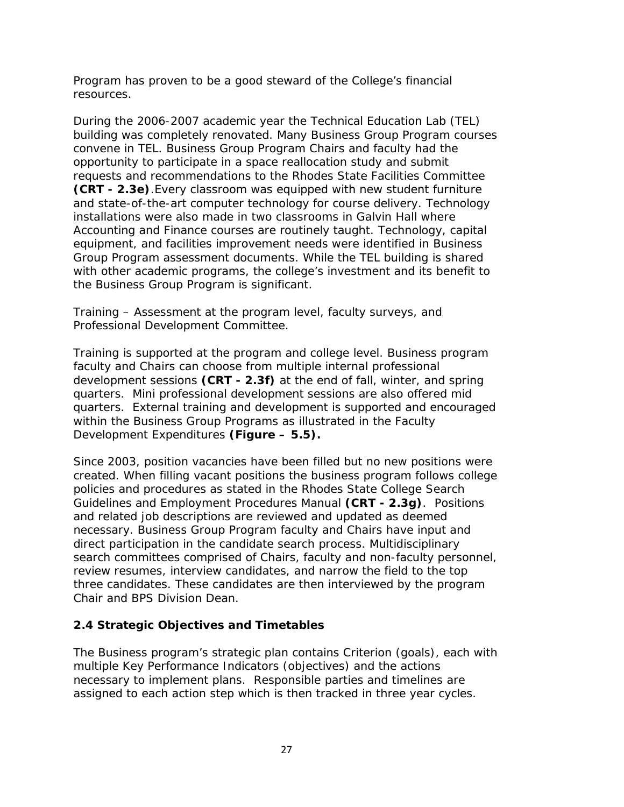Program has proven to be a good steward of the College's financial resources.

During the 2006-2007 academic year the Technical Education Lab (TEL) building was completely renovated. Many Business Group Program courses convene in TEL. Business Group Program Chairs and faculty had the opportunity to participate in a space reallocation study and submit requests and recommendations to the Rhodes State Facilities Committee **(CRT - 2.3e)**.Every classroom was equipped with new student furniture and state-of-the-art computer technology for course delivery. Technology installations were also made in two classrooms in Galvin Hall where Accounting and Finance courses are routinely taught. Technology, capital equipment, and facilities improvement needs were identified in Business Group Program assessment documents. While the TEL building is shared with other academic programs, the college's investment and its benefit to the Business Group Program is significant.

Training – Assessment at the program level, faculty surveys, and Professional Development Committee.

Training is supported at the program and college level. Business program faculty and Chairs can choose from multiple internal professional development sessions **(CRT - 2.3f)** at the end of fall, winter, and spring quarters. Mini professional development sessions are also offered mid quarters. External training and development is supported and encouraged within the Business Group Programs as illustrated in the Faculty Development Expenditures **(Figure – 5.5).**

Since 2003, position vacancies have been filled but no new positions were created. When filling vacant positions the business program follows college policies and procedures as stated in the Rhodes State College Search Guidelines and Employment Procedures Manual **(CRT - 2.3g)**. Positions and related job descriptions are reviewed and updated as deemed necessary. Business Group Program faculty and Chairs have input and direct participation in the candidate search process. Multidisciplinary search committees comprised of Chairs, faculty and non-faculty personnel, review resumes, interview candidates, and narrow the field to the top three candidates. These candidates are then interviewed by the program Chair and BPS Division Dean.

## **2.4 Strategic Objectives and Timetables**

The Business program's strategic plan contains Criterion (goals), each with multiple Key Performance Indicators (objectives) and the actions necessary to implement plans. Responsible parties and timelines are assigned to each action step which is then tracked in three year cycles.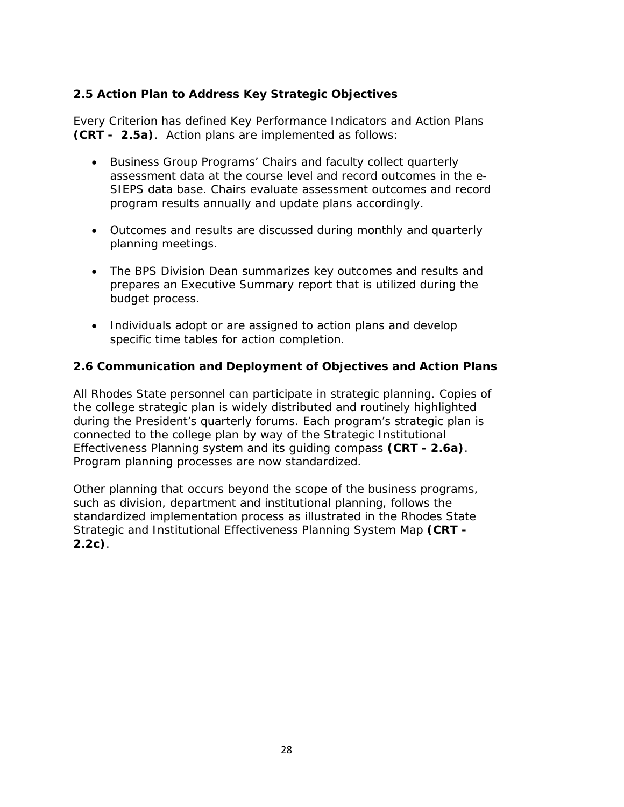## **2.5 Action Plan to Address Key Strategic Objectives**

Every Criterion has defined Key Performance Indicators and Action Plans **(CRT - 2.5a)**. Action plans are implemented as follows:

- Business Group Programs' Chairs and faculty collect quarterly assessment data at the course level and record outcomes in the *e-SIEPS* data base. Chairs evaluate assessment outcomes and record program results annually and update plans accordingly.
- Outcomes and results are discussed during monthly and quarterly planning meetings.
- The BPS Division Dean summarizes key outcomes and results and prepares an Executive Summary report that is utilized during the budget process.
- Individuals adopt or are assigned to action plans and develop specific time tables for action completion.

## **2.6 Communication and Deployment of Objectives and Action Plans**

All Rhodes State personnel can participate in strategic planning. Copies of the college strategic plan is widely distributed and routinely highlighted during the President's quarterly forums. Each program's strategic plan is connected to the college plan by way of the Strategic Institutional Effectiveness Planning system and its guiding compass **(CRT - 2.6a)**. Program planning processes are now standardized.

Other planning that occurs beyond the scope of the business programs, such as division, department and institutional planning, follows the standardized implementation process as illustrated in the Rhodes State Strategic and Institutional Effectiveness Planning System Map **(CRT - 2.2c)**.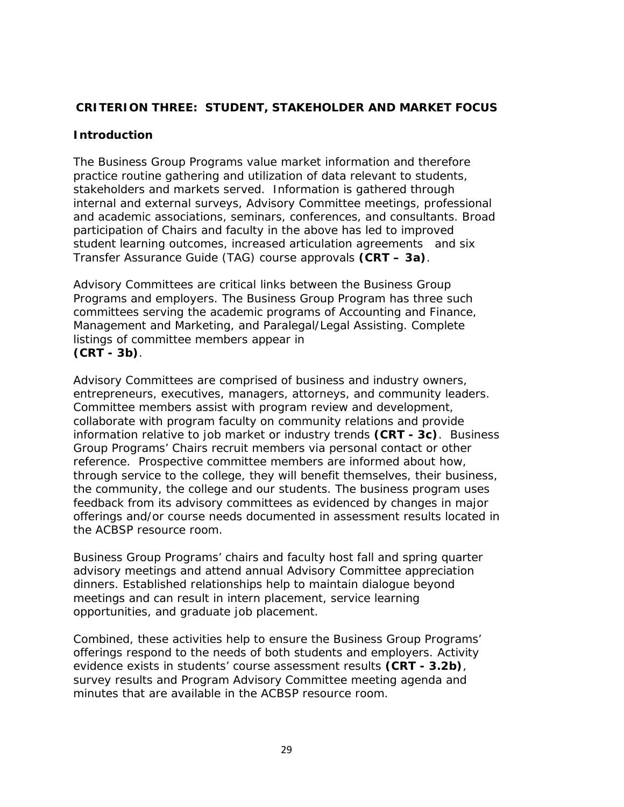## **CRITERION THREE: STUDENT, STAKEHOLDER AND MARKET FOCUS**

## **Introduction**

The Business Group Programs value market information and therefore practice routine gathering and utilization of data relevant to students, stakeholders and markets served. Information is gathered through internal and external surveys, Advisory Committee meetings, professional and academic associations, seminars, conferences, and consultants. Broad participation of Chairs and faculty in the above has led to improved student learning outcomes, increased articulation agreements and six Transfer Assurance Guide (TAG) course approvals **(CRT – 3a)**.

Advisory Committees are critical links between the Business Group Programs and employers. The Business Group Program has three such committees serving the academic programs of Accounting and Finance, Management and Marketing, and Paralegal/Legal Assisting. Complete listings of committee members appear in **(CRT - 3b)**.

Advisory Committees are comprised of business and industry owners, entrepreneurs, executives, managers, attorneys, and community leaders. Committee members assist with program review and development, collaborate with program faculty on community relations and provide information relative to job market or industry trends **(CRT - 3c)**. Business Group Programs' Chairs recruit members via personal contact or other reference. Prospective committee members are informed about how, through service to the college, they will benefit themselves, their business, the community, the college and our students. The business program uses feedback from its advisory committees as evidenced by changes in major offerings and/or course needs documented in assessment results located in the ACBSP resource room.

Business Group Programs' chairs and faculty host fall and spring quarter advisory meetings and attend annual Advisory Committee appreciation dinners. Established relationships help to maintain dialogue beyond meetings and can result in intern placement, service learning opportunities, and graduate job placement.

Combined, these activities help to ensure the Business Group Programs' offerings respond to the needs of both students and employers. Activity evidence exists in students' course assessment results **(CRT - 3.2b)**, survey results and Program Advisory Committee meeting agenda and minutes that are available in the ACBSP resource room.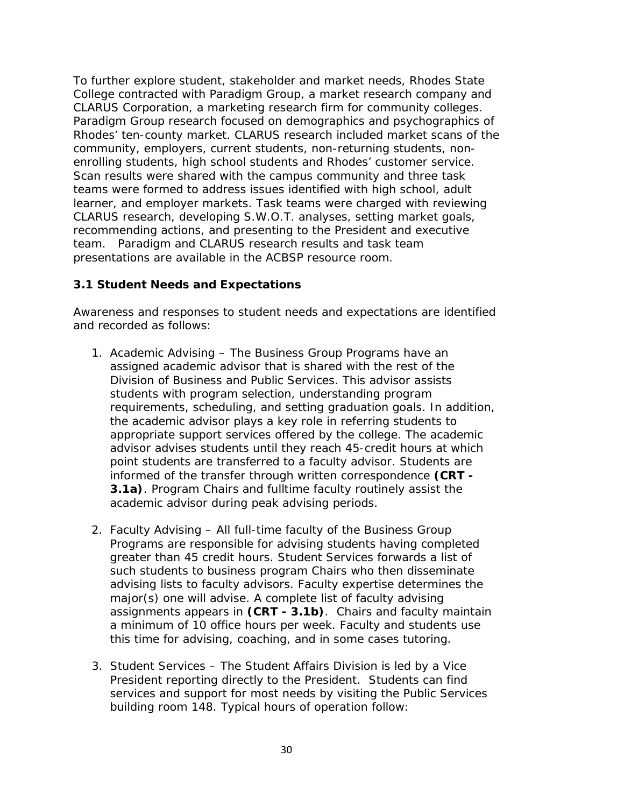To further explore student, stakeholder and market needs, Rhodes State College contracted with Paradigm Group, a market research company and CLARUS Corporation, a marketing research firm for community colleges. Paradigm Group research focused on demographics and psychographics of Rhodes' ten-county market. CLARUS research included market scans of the community, employers, current students, non-returning students, nonenrolling students, high school students and Rhodes' customer service. Scan results were shared with the campus community and three task teams were formed to address issues identified with high school, adult learner, and employer markets. Task teams were charged with reviewing CLARUS research, developing S.W.O.T. analyses, setting market goals, recommending actions, and presenting to the President and executive team. Paradigm and CLARUS research results and task team presentations are available in the ACBSP resource room.

## **3.1 Student Needs and Expectations**

Awareness and responses to student needs and expectations are identified and recorded as follows:

- 1. Academic Advising The Business Group Programs have an assigned academic advisor that is shared with the rest of the Division of Business and Public Services. This advisor assists students with program selection, understanding program requirements, scheduling, and setting graduation goals. In addition, the academic advisor plays a key role in referring students to appropriate support services offered by the college. The academic advisor advises students until they reach 45-credit hours at which point students are transferred to a faculty advisor. Students are informed of the transfer through written correspondence **(CRT - 3.1a)**. Program Chairs and fulltime faculty routinely assist the academic advisor during peak advising periods.
- 2. Faculty Advising All full-time faculty of the Business Group Programs are responsible for advising students having completed greater than 45 credit hours. Student Services forwards a list of such students to business program Chairs who then disseminate advising lists to faculty advisors. Faculty expertise determines the major(s) one will advise. A complete list of faculty advising assignments appears in **(CRT - 3.1b)**. Chairs and faculty maintain a minimum of 10 office hours per week. Faculty and students use this time for advising, coaching, and in some cases tutoring.
- 3. Student Services The Student Affairs Division is led by a Vice President reporting directly to the President. Students can find services and support for most needs by visiting the Public Services building room 148. Typical hours of operation follow: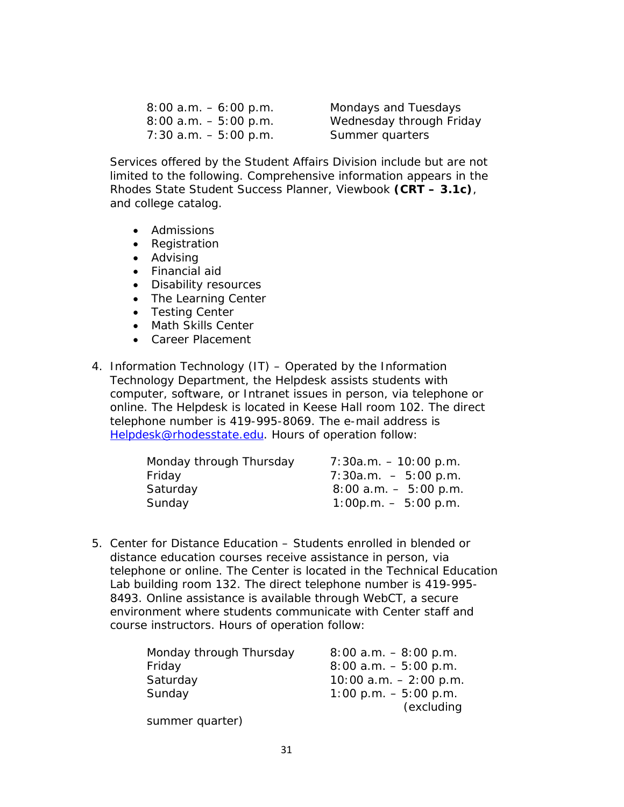| $8:00$ a.m. $-6:00$ p.m. |  |
|--------------------------|--|
| $8:00$ a.m. $-5:00$ p.m. |  |
| $7:30$ a.m. $-5:00$ p.m. |  |

Mondays and Tuesdays Wednesday through Friday Summer quarters

Services offered by the Student Affairs Division include but are not limited to the following. Comprehensive information appears in the Rhodes State Student Success Planner, Viewbook **(CRT – 3.1c)**, and college catalog.

- Admissions
- Registration
- Advising
- Financial aid
- Disability resources
- The Learning Center
- Testing Center
- Math Skills Center
- Career Placement
- 4. Information Technology (IT) Operated by the Information Technology Department, the Helpdesk assists students with computer, software, or Intranet issues in person, via telephone or online. The Helpdesk is located in Keese Hall room 102. The direct telephone number is 419-995-8069. The e-mail address is Helpdesk@rhodesstate.edu. Hours of operation follow:

| $7:30a.m. - 10:00 p.m.$  |
|--------------------------|
| $7:30a.m. - 5:00 p.m.$   |
| $8:00$ a.m. $-5:00$ p.m. |
| $1:00p.m. - 5:00 p.m.$   |
|                          |

5. Center for Distance Education – Students enrolled in blended or distance education courses receive assistance in person, via telephone or online. The Center is located in the Technical Education Lab building room 132. The direct telephone number is 419-995- 8493. Online assistance is available through WebCT, a secure environment where students communicate with Center staff and course instructors. Hours of operation follow:

| Monday through Thursday | $8:00$ a.m. $-8:00$ p.m. |
|-------------------------|--------------------------|
| Friday                  | $8:00$ a.m. $-5:00$ p.m. |
| Saturday                | 10:00 $a.m. - 2:00$ p.m. |
| Sunday                  | $1:00$ p.m. $-5:00$ p.m. |
|                         | (excluding               |
| summer quarter)         |                          |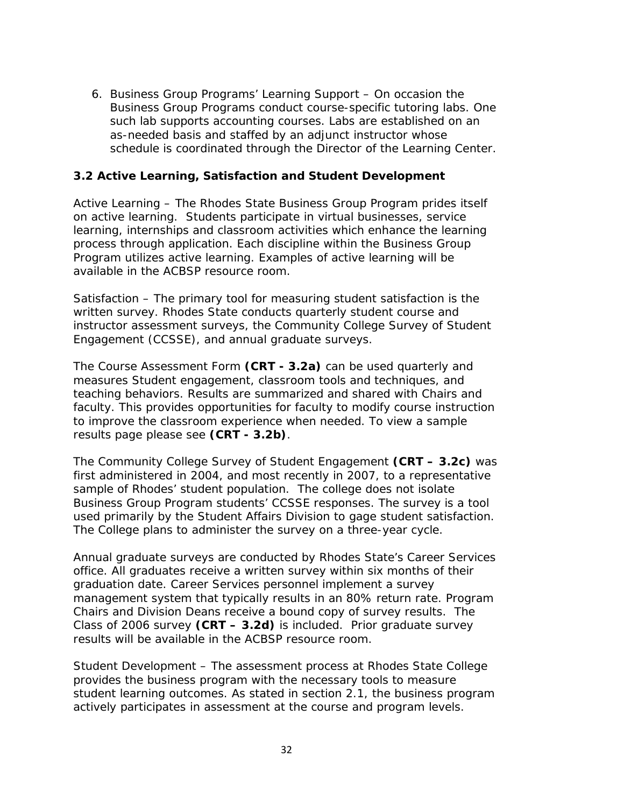6. Business Group Programs' Learning Support – On occasion the Business Group Programs conduct course-specific tutoring labs. One such lab supports accounting courses. Labs are established on an as-needed basis and staffed by an adjunct instructor whose schedule is coordinated through the Director of the Learning Center.

## **3.2 Active Learning, Satisfaction and Student Development**

Active Learning – The Rhodes State Business Group Program prides itself on active learning. Students participate in virtual businesses, service learning, internships and classroom activities which enhance the learning process through application. Each discipline within the Business Group Program utilizes active learning. Examples of active learning will be available in the ACBSP resource room.

Satisfaction – The primary tool for measuring student satisfaction is the written survey. Rhodes State conducts quarterly student course and instructor assessment surveys, the Community College Survey of Student Engagement (CCSSE), and annual graduate surveys.

The Course Assessment Form **(CRT - 3.2a)** can be used quarterly and measures Student engagement, classroom tools and techniques, and teaching behaviors. Results are summarized and shared with Chairs and faculty. This provides opportunities for faculty to modify course instruction to improve the classroom experience when needed. To view a sample results page please see **(CRT - 3.2b)**.

The Community College Survey of Student Engagement **(CRT – 3.2c)** was first administered in 2004, and most recently in 2007, to a representative sample of Rhodes' student population. The college does not isolate Business Group Program students' CCSSE responses. The survey is a tool used primarily by the Student Affairs Division to gage student satisfaction. The College plans to administer the survey on a three-year cycle.

Annual graduate surveys are conducted by Rhodes State's Career Services office. All graduates receive a written survey within six months of their graduation date. Career Services personnel implement a survey management system that typically results in an 80% return rate. Program Chairs and Division Deans receive a bound copy of survey results. The Class of 2006 survey **(CRT – 3.2d)** is included. Prior graduate survey results will be available in the ACBSP resource room.

Student Development – The assessment process at Rhodes State College provides the business program with the necessary tools to measure student learning outcomes. As stated in section 2.1, the business program actively participates in assessment at the course and program levels.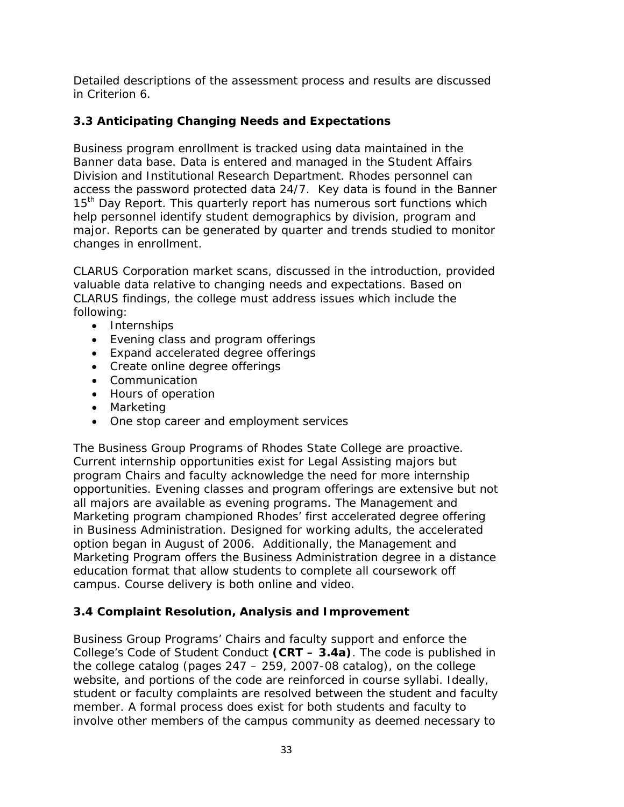Detailed descriptions of the assessment process and results are discussed in Criterion 6.

# **3.3 Anticipating Changing Needs and Expectations**

Business program enrollment is tracked using data maintained in the Banner data base. Data is entered and managed in the Student Affairs Division and Institutional Research Department. Rhodes personnel can access the password protected data 24/7. Key data is found in the Banner 15<sup>th</sup> Day Report. This quarterly report has numerous sort functions which help personnel identify student demographics by division, program and major. Reports can be generated by quarter and trends studied to monitor changes in enrollment.

CLARUS Corporation market scans, discussed in the introduction, provided valuable data relative to changing needs and expectations. Based on CLARUS findings, the college must address issues which include the following:

- Internships
- Evening class and program offerings
- Expand accelerated degree offerings
- Create online degree offerings
- Communication
- Hours of operation
- Marketing
- One stop career and employment services

The Business Group Programs of Rhodes State College are proactive. Current internship opportunities exist for Legal Assisting majors but program Chairs and faculty acknowledge the need for more internship opportunities. Evening classes and program offerings are extensive but not all majors are available as evening programs. The Management and Marketing program championed Rhodes' first accelerated degree offering in Business Administration. Designed for working adults, the accelerated option began in August of 2006. Additionally, the Management and Marketing Program offers the Business Administration degree in a distance education format that allow students to complete all coursework off campus. Course delivery is both online and video.

## **3.4 Complaint Resolution, Analysis and Improvement**

Business Group Programs' Chairs and faculty support and enforce the College's Code of Student Conduct **(CRT – 3.4a)**. The code is published in the college catalog (pages 247 – 259, 2007-08 catalog), on the college website, and portions of the code are reinforced in course syllabi. Ideally, student or faculty complaints are resolved between the student and faculty member. A formal process does exist for both students and faculty to involve other members of the campus community as deemed necessary to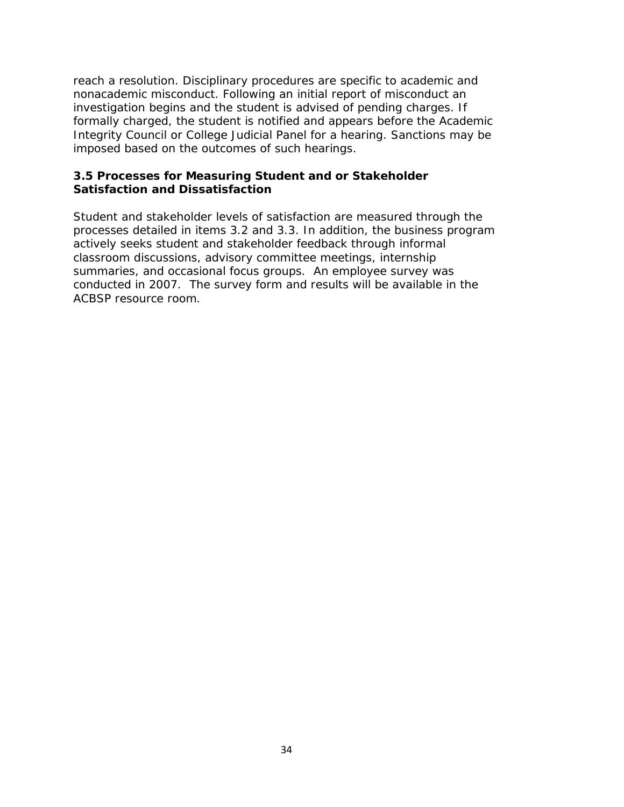reach a resolution. Disciplinary procedures are specific to academic and nonacademic misconduct. Following an initial report of misconduct an investigation begins and the student is advised of pending charges. If formally charged, the student is notified and appears before the Academic Integrity Council or College Judicial Panel for a hearing. Sanctions may be imposed based on the outcomes of such hearings.

### **3.5 Processes for Measuring Student and or Stakeholder Satisfaction and Dissatisfaction**

Student and stakeholder levels of satisfaction are measured through the processes detailed in items 3.2 and 3.3. In addition, the business program actively seeks student and stakeholder feedback through informal classroom discussions, advisory committee meetings, internship summaries, and occasional focus groups. An employee survey was conducted in 2007. The survey form and results will be available in the ACBSP resource room.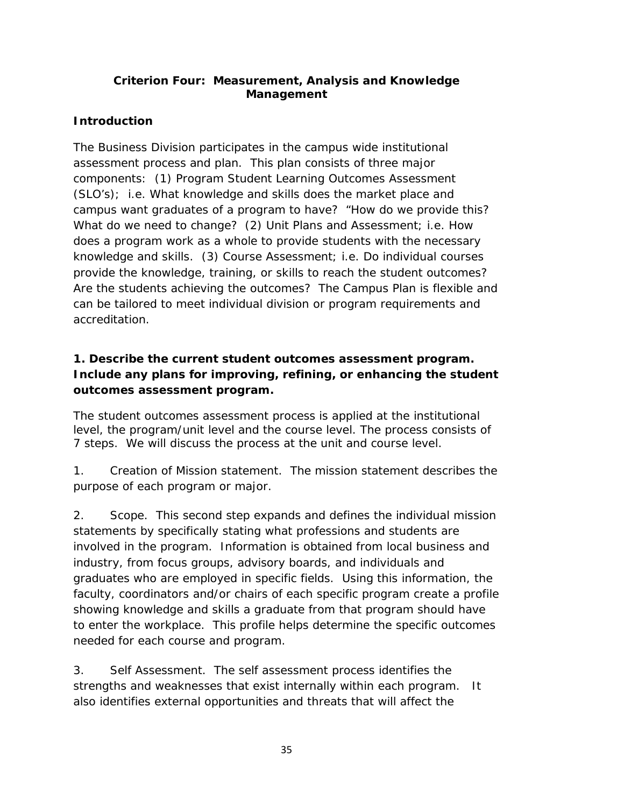## **Criterion Four: Measurement, Analysis and Knowledge Management**

# **Introduction**

The Business Division participates in the campus wide institutional assessment process and plan. This plan consists of three major components: (1) Program Student Learning Outcomes Assessment (SLO's); i.e. What knowledge and skills does the market place and campus want graduates of a program to have? "How do we provide this? What do we need to change? (2) Unit Plans and Assessment; i.e. How does a program work as a whole to provide students with the necessary knowledge and skills. (3) Course Assessment; i.e. Do individual courses provide the knowledge, training, or skills to reach the student outcomes? Are the students achieving the outcomes? The Campus Plan is flexible and can be tailored to meet individual division or program requirements and accreditation.

# **1. Describe the current student outcomes assessment program. Include any plans for improving, refining, or enhancing the student outcomes assessment program.**

The student outcomes assessment process is applied at the institutional level, the program/unit level and the course level. The process consists of 7 steps. We will discuss the process at the unit and course level.

1. Creation of Mission statement. The mission statement describes the purpose of each program or major.

2. Scope. This second step expands and defines the individual mission statements by specifically stating what professions and students are involved in the program. Information is obtained from local business and industry, from focus groups, advisory boards, and individuals and graduates who are employed in specific fields. Using this information, the faculty, coordinators and/or chairs of each specific program create a profile showing knowledge and skills a graduate from that program should have to enter the workplace. This profile helps determine the specific outcomes needed for each course and program.

3. Self Assessment. The self assessment process identifies the strengths and weaknesses that exist internally within each program. It also identifies external opportunities and threats that will affect the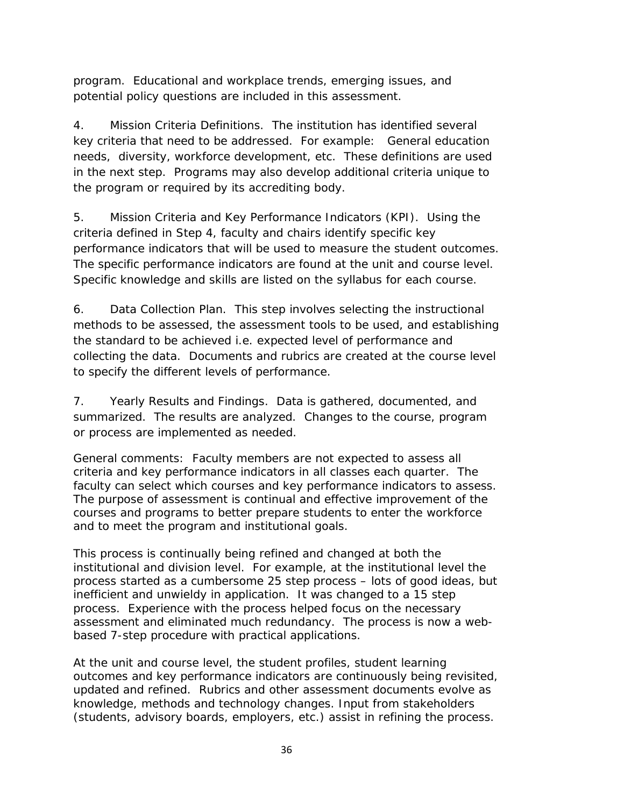program. Educational and workplace trends, emerging issues, and potential policy questions are included in this assessment.

4. Mission Criteria Definitions. The institution has identified several key criteria that need to be addressed. For example: General education needs, diversity, workforce development, etc. These definitions are used in the next step. Programs may also develop additional criteria unique to the program or required by its accrediting body.

5. Mission Criteria and Key Performance Indicators (KPI). Using the criteria defined in Step 4, faculty and chairs identify specific key performance indicators that will be used to measure the student outcomes. The specific performance indicators are found at the unit and course level. Specific knowledge and skills are listed on the syllabus for each course.

6. Data Collection Plan. This step involves selecting the instructional methods to be assessed, the assessment tools to be used, and establishing the standard to be achieved i.e. expected level of performance and collecting the data. Documents and rubrics are created at the course level to specify the different levels of performance.

7. Yearly Results and Findings. Data is gathered, documented, and summarized. The results are analyzed. Changes to the course, program or process are implemented as needed.

General comments: Faculty members are not expected to assess all criteria and key performance indicators in all classes each quarter. The faculty can select which courses and key performance indicators to assess. The purpose of assessment is continual and effective improvement of the courses and programs to better prepare students to enter the workforce and to meet the program and institutional goals.

This process is continually being refined and changed at both the institutional and division level. For example, at the institutional level the process started as a cumbersome 25 step process – lots of good ideas, but inefficient and unwieldy in application. It was changed to a 15 step process. Experience with the process helped focus on the necessary assessment and eliminated much redundancy. The process is now a webbased 7-step procedure with practical applications.

At the unit and course level, the student profiles, student learning outcomes and key performance indicators are continuously being revisited, updated and refined. Rubrics and other assessment documents evolve as knowledge, methods and technology changes. Input from stakeholders (students, advisory boards, employers, etc.) assist in refining the process.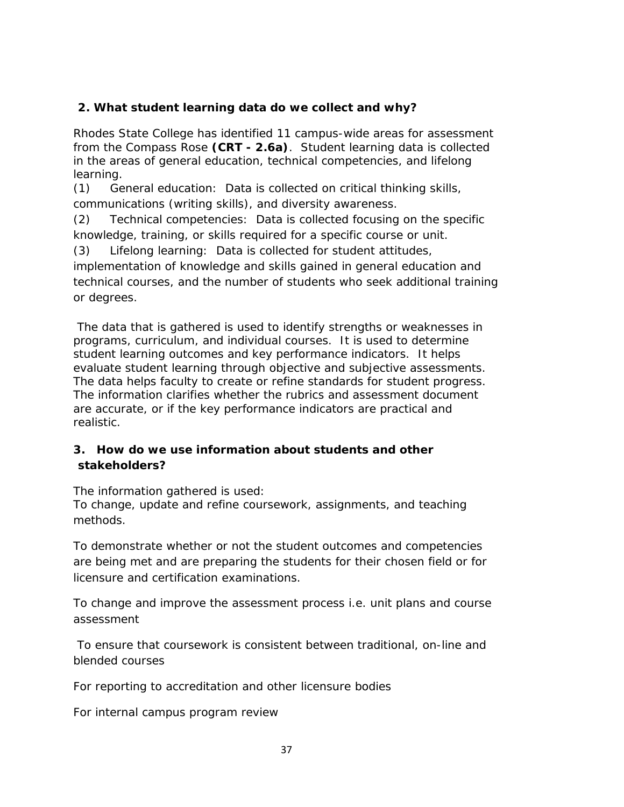## **2. What student learning data do we collect and why?**

Rhodes State College has identified 11 campus-wide areas for assessment from the Compass Rose **(CRT - 2.6a)**. Student learning data is collected in the areas of general education, technical competencies, and lifelong learning.

(1) General education: Data is collected on critical thinking skills, communications (writing skills), and diversity awareness.

(2) Technical competencies: Data is collected focusing on the specific knowledge, training, or skills required for a specific course or unit.

(3) Lifelong learning: Data is collected for student attitudes, implementation of knowledge and skills gained in general education and technical courses, and the number of students who seek additional training or degrees.

The data that is gathered is used to identify strengths or weaknesses in programs, curriculum, and individual courses. It is used to determine student learning outcomes and key performance indicators. It helps evaluate student learning through objective and subjective assessments. The data helps faculty to create or refine standards for student progress. The information clarifies whether the rubrics and assessment document are accurate, or if the key performance indicators are practical and realistic.

## **3. How do we use information about students and other stakeholders?**

The information gathered is used:

To change, update and refine coursework, assignments, and teaching methods.

To demonstrate whether or not the student outcomes and competencies are being met and are preparing the students for their chosen field or for licensure and certification examinations.

To change and improve the assessment process i.e. unit plans and course assessment

To ensure that coursework is consistent between traditional, on-line and blended courses

For reporting to accreditation and other licensure bodies

For internal campus program review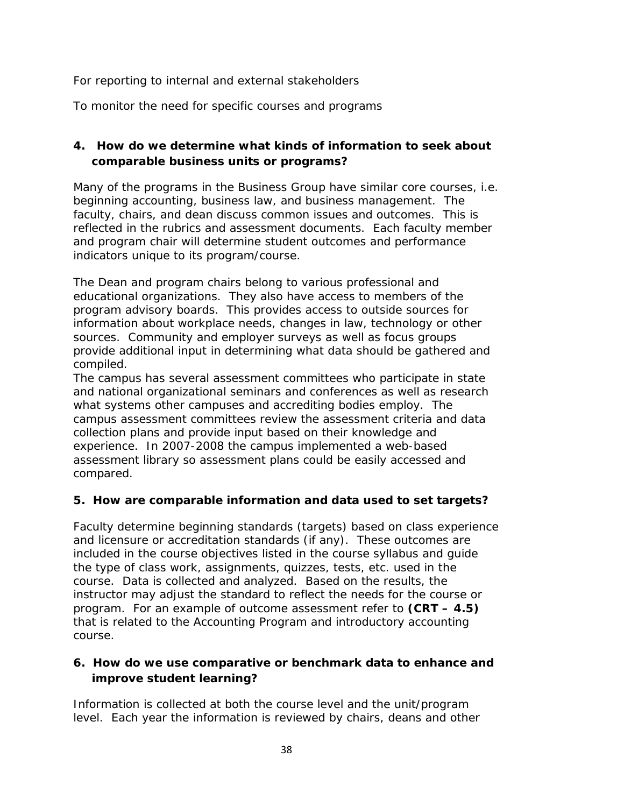For reporting to internal and external stakeholders

To monitor the need for specific courses and programs

# **4. How do we determine what kinds of information to seek about comparable business units or programs?**

Many of the programs in the Business Group have similar core courses, i.e. beginning accounting, business law, and business management. The faculty, chairs, and dean discuss common issues and outcomes. This is reflected in the rubrics and assessment documents. Each faculty member and program chair will determine student outcomes and performance indicators unique to its program/course.

The Dean and program chairs belong to various professional and educational organizations. They also have access to members of the program advisory boards. This provides access to outside sources for information about workplace needs, changes in law, technology or other sources. Community and employer surveys as well as focus groups provide additional input in determining what data should be gathered and compiled.

The campus has several assessment committees who participate in state and national organizational seminars and conferences as well as research what systems other campuses and accrediting bodies employ. The campus assessment committees review the assessment criteria and data collection plans and provide input based on their knowledge and experience. In 2007-2008 the campus implemented a web-based assessment library so assessment plans could be easily accessed and compared.

# **5. How are comparable information and data used to set targets?**

Faculty determine beginning standards (targets) based on class experience and licensure or accreditation standards (if any). These outcomes are included in the course objectives listed in the course syllabus and guide the type of class work, assignments, quizzes, tests, etc. used in the course. Data is collected and analyzed. Based on the results, the instructor may adjust the standard to reflect the needs for the course or program. For an example of outcome assessment refer to **(CRT – 4.5)** that is related to the Accounting Program and introductory accounting course.

## **6. How do we use comparative or benchmark data to enhance and improve student learning?**

Information is collected at both the course level and the unit/program level. Each year the information is reviewed by chairs, deans and other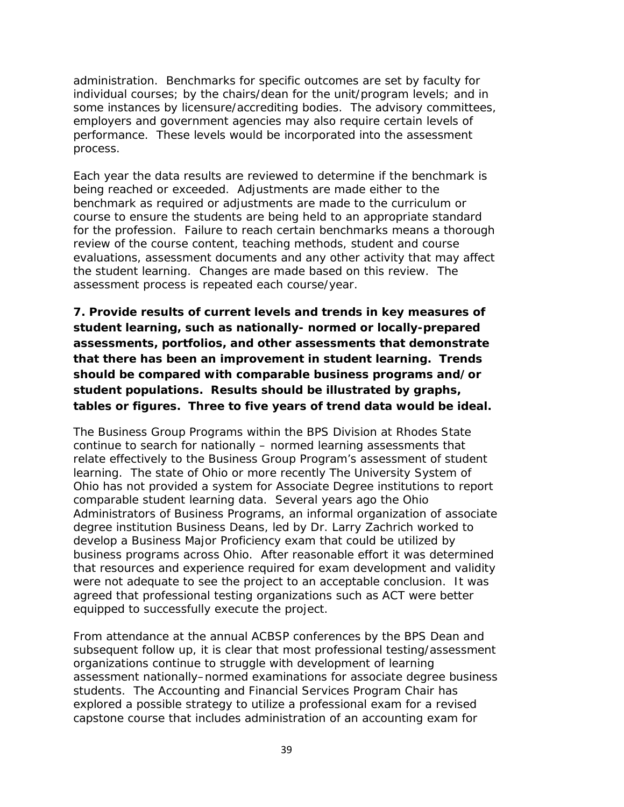administration. Benchmarks for specific outcomes are set by faculty for individual courses; by the chairs/dean for the unit/program levels; and in some instances by licensure/accrediting bodies. The advisory committees, employers and government agencies may also require certain levels of performance. These levels would be incorporated into the assessment process.

Each year the data results are reviewed to determine if the benchmark is being reached or exceeded. Adjustments are made either to the benchmark as required or adjustments are made to the curriculum or course to ensure the students are being held to an appropriate standard for the profession. Failure to reach certain benchmarks means a thorough review of the course content, teaching methods, student and course evaluations, assessment documents and any other activity that may affect the student learning. Changes are made based on this review. The assessment process is repeated each course/year.

**7. Provide results of current levels and trends in key measures of student learning, such as nationally- normed or locally-prepared assessments, portfolios, and other assessments that demonstrate that there has been an improvement in student learning. Trends should be compared with comparable business programs and/or student populations. Results should be illustrated by graphs, tables or figures. Three to five years of trend data would be ideal.**

The Business Group Programs within the BPS Division at Rhodes State continue to search for nationally – normed learning assessments that relate effectively to the Business Group Program's assessment of student learning. The state of Ohio or more recently The University System of Ohio has not provided a system for Associate Degree institutions to report comparable student learning data. Several years ago the Ohio Administrators of Business Programs, an informal organization of associate degree institution Business Deans, led by Dr. Larry Zachrich worked to develop a Business Major Proficiency exam that could be utilized by business programs across Ohio. After reasonable effort it was determined that resources and experience required for exam development and validity were not adequate to see the project to an acceptable conclusion. It was agreed that professional testing organizations such as ACT were better equipped to successfully execute the project.

From attendance at the annual ACBSP conferences by the BPS Dean and subsequent follow up, it is clear that most professional testing/assessment organizations continue to struggle with development of learning assessment nationally–normed examinations for associate degree business students. The Accounting and Financial Services Program Chair has explored a possible strategy to utilize a professional exam for a revised capstone course that includes administration of an accounting exam for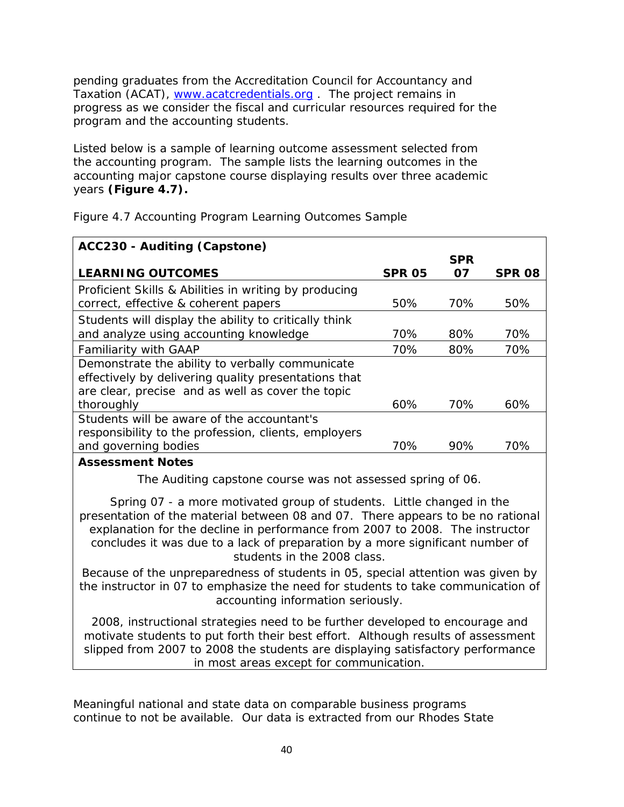pending graduates from the Accreditation Council for Accountancy and Taxation (ACAT), www.acatcredentials.org. The project remains in progress as we consider the fiscal and curricular resources required for the program and the accounting students.

Listed below is a sample of learning outcome assessment selected from the accounting program. The sample lists the learning outcomes in the accounting major capstone course displaying results over three academic years **(Figure 4.7).**

| ACC230 - Auditing (Capstone)                          |               |            |        |
|-------------------------------------------------------|---------------|------------|--------|
|                                                       |               | <b>SPR</b> |        |
| <b>LEARNING OUTCOMES</b>                              | <b>SPR 05</b> | 07         | SPR 08 |
| Proficient Skills & Abilities in writing by producing |               |            |        |
| correct, effective & coherent papers                  | 50%           | 70%        | 50%    |
| Students will display the ability to critically think |               |            |        |
| and analyze using accounting knowledge                | 70%           | 80%        | 70%    |
| <b>Familiarity with GAAP</b>                          | 70%           | 80%        | 70%    |
| Demonstrate the ability to verbally communicate       |               |            |        |
| effectively by delivering quality presentations that  |               |            |        |
| are clear, precise and as well as cover the topic     |               |            |        |
| thoroughly                                            | 60%           | 70%        | 60%    |
| Students will be aware of the accountant's            |               |            |        |
| responsibility to the profession, clients, employers  |               |            |        |
| and governing bodies                                  | 70%           | 90%        | 70%    |
| Assessment Notes                                      |               |            |        |

Figure 4.7 Accounting Program Learning Outcomes Sample

## **Assessment Notes**

The Auditing capstone course was not assessed spring of 06.

Spring 07 - a more motivated group of students. Little changed in the presentation of the material between 08 and 07. There appears to be no rational explanation for the decline in performance from 2007 to 2008. The instructor concludes it was due to a lack of preparation by a more significant number of students in the 2008 class.

Because of the unpreparedness of students in 05, special attention was given by the instructor in 07 to emphasize the need for students to take communication of accounting information seriously.

2008, instructional strategies need to be further developed to encourage and motivate students to put forth their best effort. Although results of assessment slipped from 2007 to 2008 the students are displaying satisfactory performance in most areas except for communication.

Meaningful national and state data on comparable business programs continue to not be available. Our data is extracted from our Rhodes State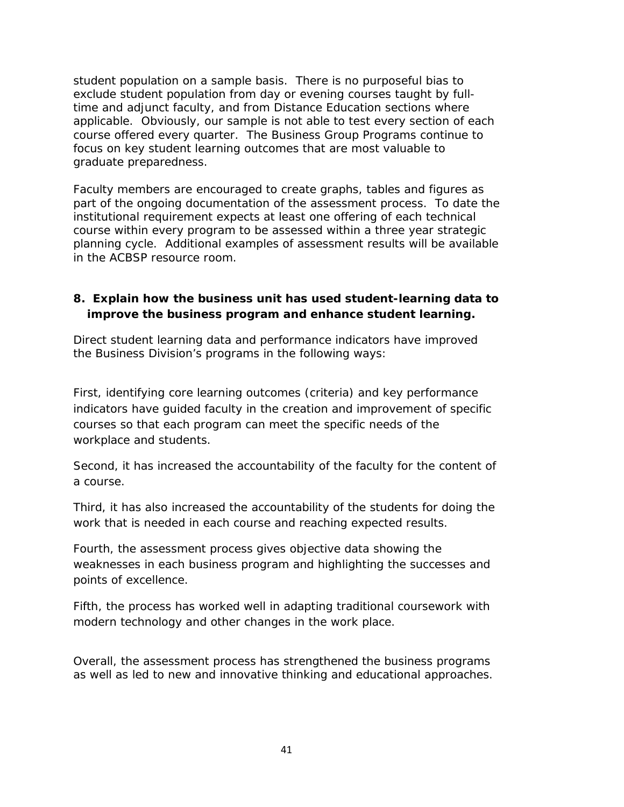student population on a sample basis. There is no purposeful bias to exclude student population from day or evening courses taught by fulltime and adjunct faculty, and from Distance Education sections where applicable. Obviously, our sample is not able to test every section of each course offered every quarter. The Business Group Programs continue to focus on key student learning outcomes that are most valuable to graduate preparedness.

Faculty members are encouraged to create graphs, tables and figures as part of the ongoing documentation of the assessment process. To date the institutional requirement expects at least one offering of each technical course within every program to be assessed within a three year strategic planning cycle. Additional examples of assessment results will be available in the ACBSP resource room.

## **8. Explain how the business unit has used student-learning data to improve the business program and enhance student learning.**

Direct student learning data and performance indicators have improved the Business Division's programs in the following ways:

First, identifying core learning outcomes (criteria) and key performance indicators have guided faculty in the creation and improvement of specific courses so that each program can meet the specific needs of the workplace and students.

Second, it has increased the accountability of the faculty for the content of a course.

Third, it has also increased the accountability of the students for doing the work that is needed in each course and reaching expected results.

Fourth, the assessment process gives objective data showing the weaknesses in each business program and highlighting the successes and points of excellence.

Fifth, the process has worked well in adapting traditional coursework with modern technology and other changes in the work place.

Overall, the assessment process has strengthened the business programs as well as led to new and innovative thinking and educational approaches.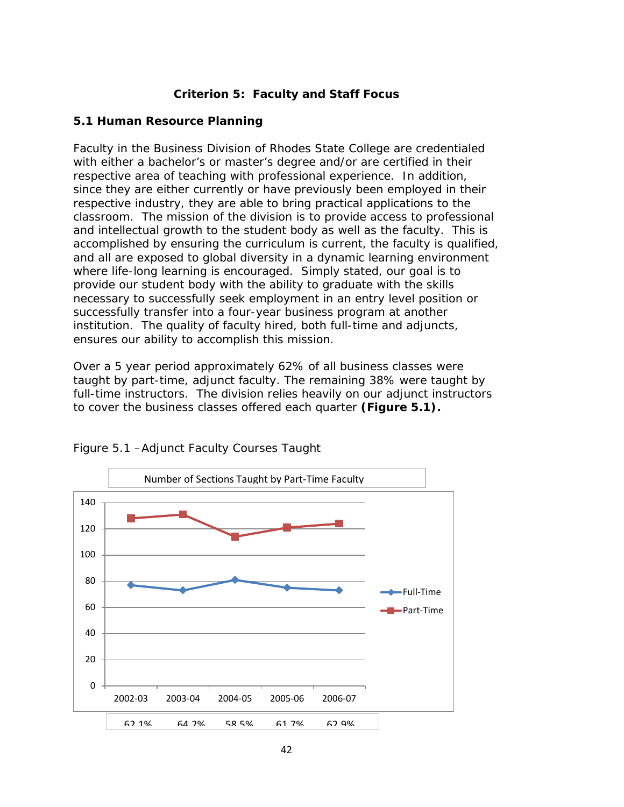## **Criterion 5: Faculty and Staff Focus**

## **5.1 Human Resource Planning**

Faculty in the Business Division of Rhodes State College are credentialed with either a bachelor's or master's degree and/or are certified in their respective area of teaching with professional experience. In addition, since they are either currently or have previously been employed in their respective industry, they are able to bring practical applications to the classroom. The mission of the division is to provide access to professional and intellectual growth to the student body as well as the faculty. This is accomplished by ensuring the curriculum is current, the faculty is qualified, and all are exposed to global diversity in a dynamic learning environment where life-long learning is encouraged. Simply stated, our goal is to provide our student body with the ability to graduate with the skills necessary to successfully seek employment in an entry level position or successfully transfer into a four-year business program at another institution. The quality of faculty hired, both full-time and adjuncts, ensures our ability to accomplish this mission.

Over a 5 year period approximately 62% of all business classes were taught by part-time, adjunct faculty. The remaining 38% were taught by full-time instructors. The division relies heavily on our adjunct instructors to cover the business classes offered each quarter **(Figure 5.1).**



Figure 5.1 –Adjunct Faculty Courses Taught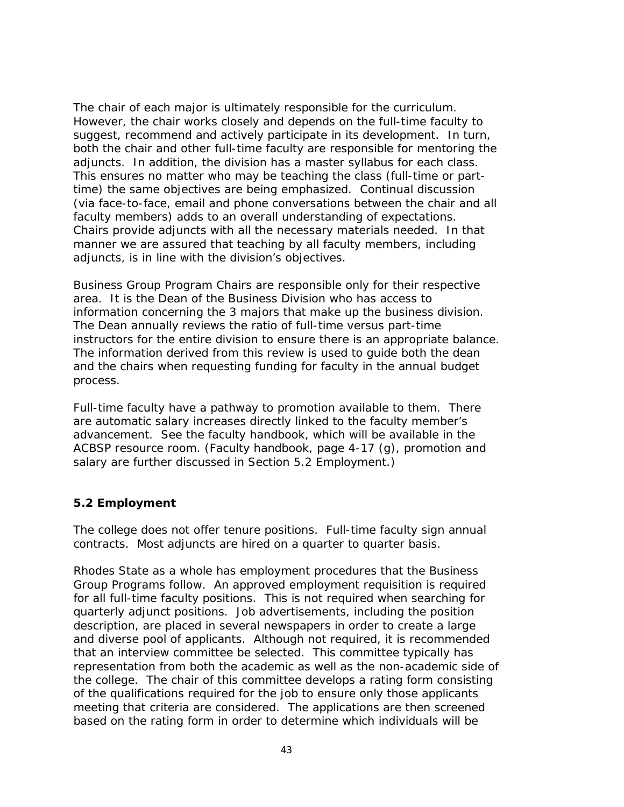The chair of each major is ultimately responsible for the curriculum. However, the chair works closely and depends on the full-time faculty to suggest, recommend and actively participate in its development. In turn, both the chair and other full-time faculty are responsible for mentoring the adjuncts. In addition, the division has a master syllabus for each class. This ensures no matter who may be teaching the class (full-time or parttime) the same objectives are being emphasized. Continual discussion (via face-to-face, email and phone conversations between the chair and all faculty members) adds to an overall understanding of expectations. Chairs provide adjuncts with all the necessary materials needed. In that manner we are assured that teaching by all faculty members, including adjuncts, is in line with the division's objectives.

Business Group Program Chairs are responsible only for their respective area. It is the Dean of the Business Division who has access to information concerning the 3 majors that make up the business division. The Dean annually reviews the ratio of full-time versus part-time instructors for the entire division to ensure there is an appropriate balance. The information derived from this review is used to guide both the dean and the chairs when requesting funding for faculty in the annual budget process.

Full-time faculty have a pathway to promotion available to them. There are automatic salary increases directly linked to the faculty member's advancement. See the faculty handbook, which will be available in the ACBSP resource room. (Faculty handbook, page 4-17 (g), promotion and salary are further discussed in Section 5.2 Employment.)

### **5.2 Employment**

The college does not offer tenure positions. Full-time faculty sign annual contracts. Most adjuncts are hired on a quarter to quarter basis.

Rhodes State as a whole has employment procedures that the Business Group Programs follow. An approved employment requisition is required for all full-time faculty positions. This is not required when searching for quarterly adjunct positions. Job advertisements, including the position description, are placed in several newspapers in order to create a large and diverse pool of applicants. Although not required, it is recommended that an interview committee be selected. This committee typically has representation from both the academic as well as the non-academic side of the college. The chair of this committee develops a rating form consisting of the qualifications required for the job to ensure only those applicants meeting that criteria are considered. The applications are then screened based on the rating form in order to determine which individuals will be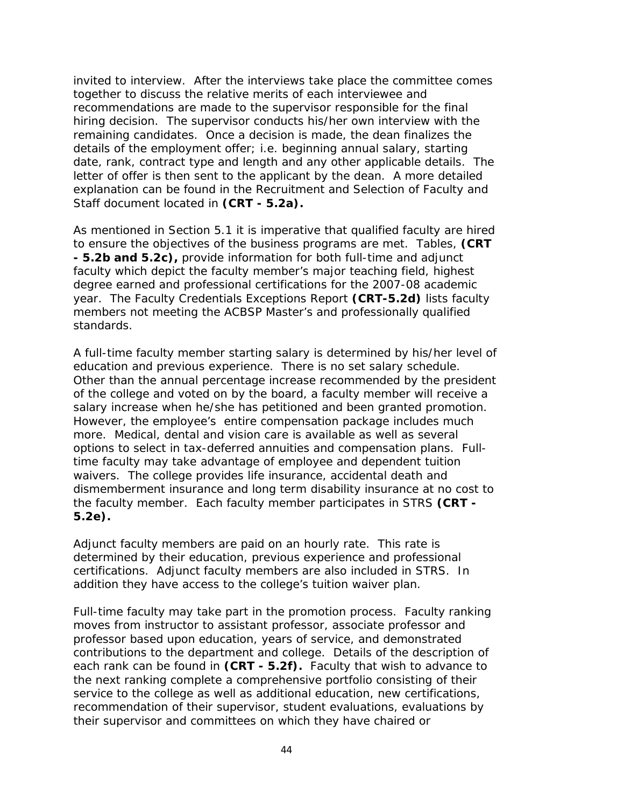invited to interview. After the interviews take place the committee comes together to discuss the relative merits of each interviewee and recommendations are made to the supervisor responsible for the final hiring decision. The supervisor conducts his/her own interview with the remaining candidates. Once a decision is made, the dean finalizes the details of the employment offer; i.e. beginning annual salary, starting date, rank, contract type and length and any other applicable details. The letter of offer is then sent to the applicant by the dean. A more detailed explanation can be found in the Recruitment and Selection of Faculty and Staff document located in **(CRT - 5.2a).**

As mentioned in Section 5.1 it is imperative that qualified faculty are hired to ensure the objectives of the business programs are met. Tables, **(CRT - 5.2b and 5.2c),** provide information for both full-time and adjunct faculty which depict the faculty member's major teaching field, highest degree earned and professional certifications for the 2007-08 academic year. The Faculty Credentials Exceptions Report **(CRT-5.2d)** lists faculty members not meeting the ACBSP Master's and professionally qualified standards.

A full-time faculty member starting salary is determined by his/her level of education and previous experience. There is no set salary schedule. Other than the annual percentage increase recommended by the president of the college and voted on by the board, a faculty member will receive a salary increase when he/she has petitioned and been granted promotion. However, the employee's entire compensation package includes much more. Medical, dental and vision care is available as well as several options to select in tax-deferred annuities and compensation plans. Fulltime faculty may take advantage of employee and dependent tuition waivers. The college provides life insurance, accidental death and dismemberment insurance and long term disability insurance at no cost to the faculty member. Each faculty member participates in STRS **(CRT - 5.2e).**

Adjunct faculty members are paid on an hourly rate. This rate is determined by their education, previous experience and professional certifications. Adjunct faculty members are also included in STRS. In addition they have access to the college's tuition waiver plan.

Full-time faculty may take part in the promotion process. Faculty ranking moves from instructor to assistant professor, associate professor and professor based upon education, years of service, and demonstrated contributions to the department and college. Details of the description of each rank can be found in **(CRT - 5.2f).** Faculty that wish to advance to the next ranking complete a comprehensive portfolio consisting of their service to the college as well as additional education, new certifications, recommendation of their supervisor, student evaluations, evaluations by their supervisor and committees on which they have chaired or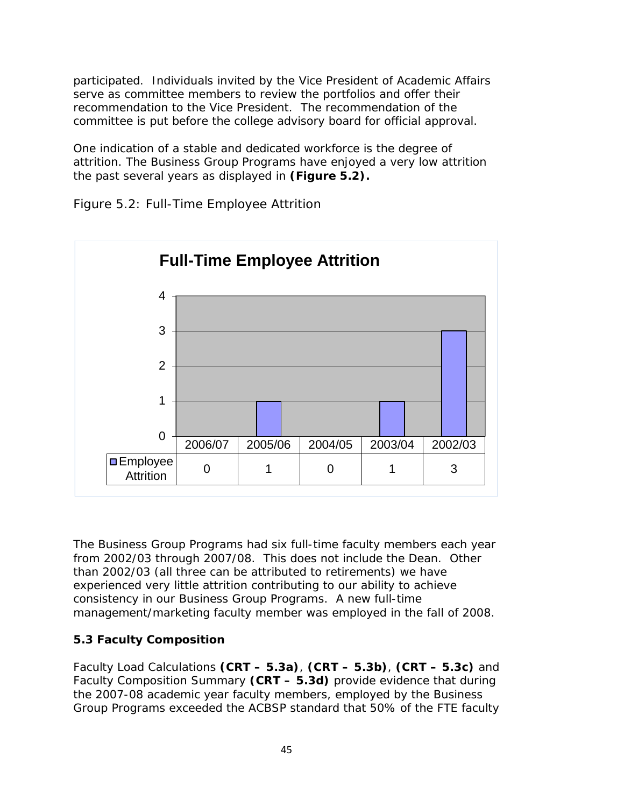participated. Individuals invited by the Vice President of Academic Affairs serve as committee members to review the portfolios and offer their recommendation to the Vice President. The recommendation of the committee is put before the college advisory board for official approval.

One indication of a stable and dedicated workforce is the degree of attrition. The Business Group Programs have enjoyed a very low attrition the past several years as displayed in **(Figure 5.2).**



Figure 5.2: Full-Time Employee Attrition

The Business Group Programs had six full-time faculty members each year from 2002/03 through 2007/08. This does not include the Dean. Other than 2002/03 (all three can be attributed to retirements) we have experienced very little attrition contributing to our ability to achieve consistency in our Business Group Programs. A new full-time management/marketing faculty member was employed in the fall of 2008.

# **5.3 Faculty Composition**

Faculty Load Calculations **(CRT – 5.3a)**, **(CRT – 5.3b)**, **(CRT – 5.3c)** and Faculty Composition Summary **(CRT – 5.3d)** provide evidence that during the 2007-08 academic year faculty members, employed by the Business Group Programs exceeded the ACBSP standard that 50% of the FTE faculty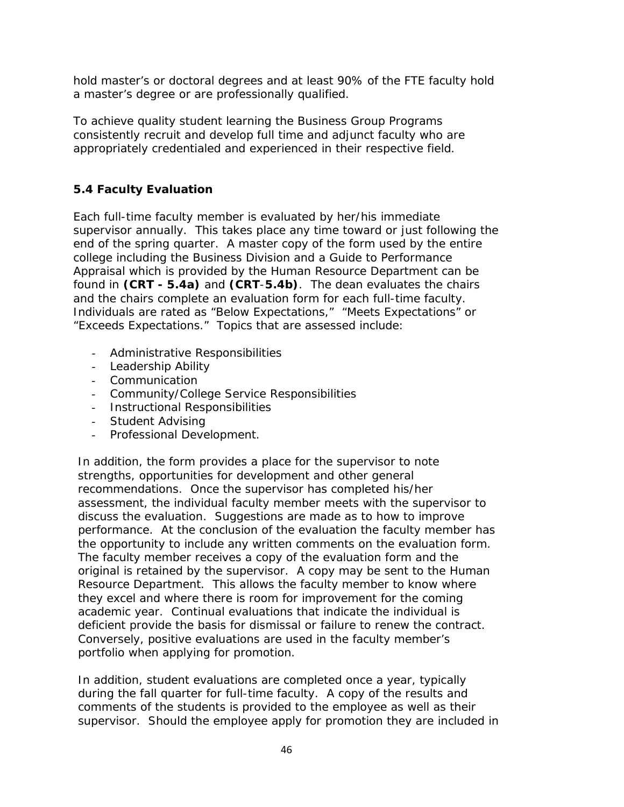hold master's or doctoral degrees and at least 90% of the FTE faculty hold a master's degree or are professionally qualified.

To achieve quality student learning the Business Group Programs consistently recruit and develop full time and adjunct faculty who are appropriately credentialed and experienced in their respective field.

## **5.4 Faculty Evaluation**

Each full-time faculty member is evaluated by her/his immediate supervisor annually. This takes place any time toward or just following the end of the spring quarter. A master copy of the form used by the entire college including the Business Division and a Guide to Performance Appraisal which is provided by the Human Resource Department can be found in **(CRT - 5.4a)** and **(CRT**-**5.4b)**. The dean evaluates the chairs and the chairs complete an evaluation form for each full-time faculty. Individuals are rated as "Below Expectations," "Meets Expectations" or "Exceeds Expectations." Topics that are assessed include:

- Administrative Responsibilities
- Leadership Ability
- Communication
- Community/College Service Responsibilities
- Instructional Responsibilities
- Student Advising
- Professional Development.

In addition, the form provides a place for the supervisor to note strengths, opportunities for development and other general recommendations. Once the supervisor has completed his/her assessment, the individual faculty member meets with the supervisor to discuss the evaluation. Suggestions are made as to how to improve performance. At the conclusion of the evaluation the faculty member has the opportunity to include any written comments on the evaluation form. The faculty member receives a copy of the evaluation form and the original is retained by the supervisor. A copy may be sent to the Human Resource Department. This allows the faculty member to know where they excel and where there is room for improvement for the coming academic year. Continual evaluations that indicate the individual is deficient provide the basis for dismissal or failure to renew the contract. Conversely, positive evaluations are used in the faculty member's portfolio when applying for promotion.

In addition, student evaluations are completed once a year, typically during the fall quarter for full-time faculty. A copy of the results and comments of the students is provided to the employee as well as their supervisor. Should the employee apply for promotion they are included in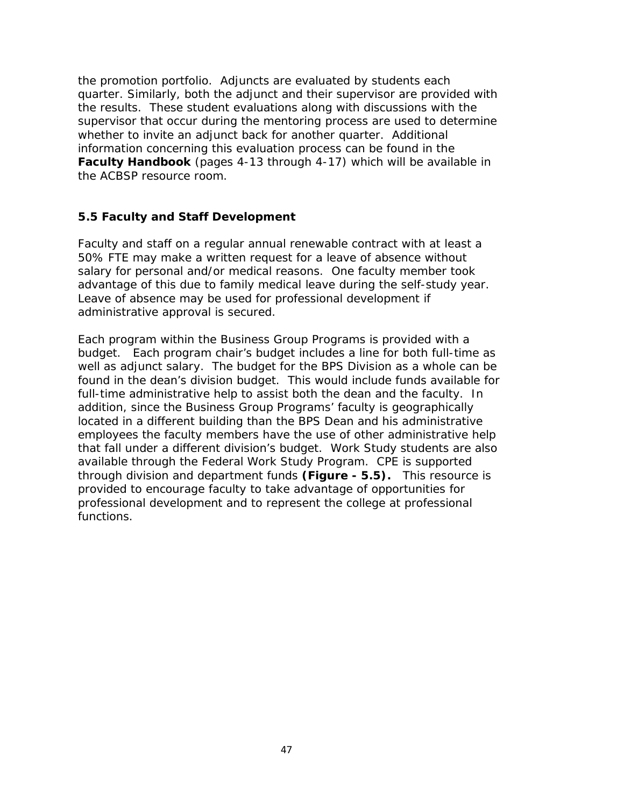the promotion portfolio. Adjuncts are evaluated by students each quarter. Similarly, both the adjunct and their supervisor are provided with the results. These student evaluations along with discussions with the supervisor that occur during the mentoring process are used to determine whether to invite an adjunct back for another quarter. Additional information concerning this evaluation process can be found in the **Faculty Handbook** (pages 4-13 through 4-17) which will be available in the ACBSP resource room.

#### **5.5 Faculty and Staff Development**

Faculty and staff on a regular annual renewable contract with at least a 50% FTE may make a written request for a leave of absence without salary for personal and/or medical reasons. One faculty member took advantage of this due to family medical leave during the self-study year. Leave of absence may be used for professional development if administrative approval is secured.

Each program within the Business Group Programs is provided with a budget. Each program chair's budget includes a line for both full-time as well as adjunct salary. The budget for the BPS Division as a whole can be found in the dean's division budget. This would include funds available for full-time administrative help to assist both the dean and the faculty. In addition, since the Business Group Programs' faculty is geographically located in a different building than the BPS Dean and his administrative employees the faculty members have the use of other administrative help that fall under a different division's budget. Work Study students are also available through the Federal Work Study Program. CPE is supported through division and department funds **(Figure - 5.5).** This resource is provided to encourage faculty to take advantage of opportunities for professional development and to represent the college at professional functions.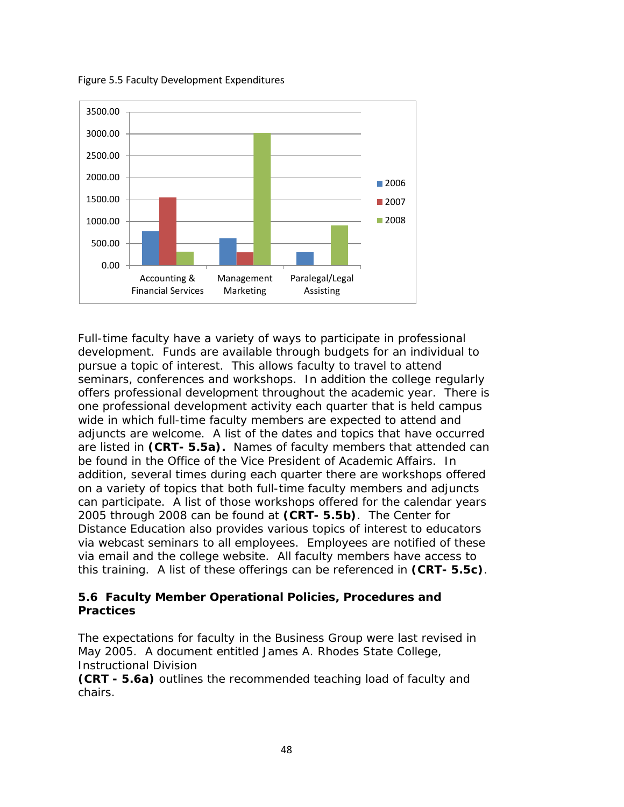Figure 5.5 Faculty Development Expenditures



Full-time faculty have a variety of ways to participate in professional development. Funds are available through budgets for an individual to pursue a topic of interest. This allows faculty to travel to attend seminars, conferences and workshops. In addition the college regularly offers professional development throughout the academic year. There is one professional development activity each quarter that is held campus wide in which full-time faculty members are expected to attend and adjuncts are welcome. A list of the dates and topics that have occurred are listed in **(CRT- 5.5a).** Names of faculty members that attended can be found in the Office of the Vice President of Academic Affairs. In addition, several times during each quarter there are workshops offered on a variety of topics that both full-time faculty members and adjuncts can participate. A list of those workshops offered for the calendar years 2005 through 2008 can be found at **(CRT- 5.5b)**. The Center for Distance Education also provides various topics of interest to educators via webcast seminars to all employees. Employees are notified of these via email and the college website. All faculty members have access to this training. A list of these offerings can be referenced in **(CRT- 5.5c)**.

### **5.6 Faculty Member Operational Policies, Procedures and Practices**

The expectations for faculty in the Business Group were last revised in May 2005. A document entitled James A. Rhodes State College, Instructional Division

**(CRT - 5.6a)** outlines the recommended teaching load of faculty and chairs.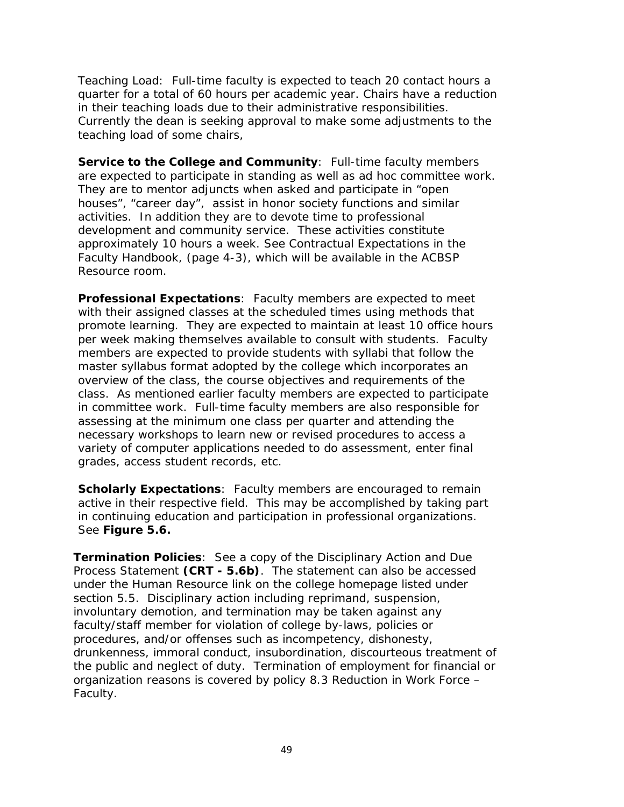Teaching Load: Full-time faculty is expected to teach 20 contact hours a quarter for a total of 60 hours per academic year. Chairs have a reduction in their teaching loads due to their administrative responsibilities. Currently the dean is seeking approval to make some adjustments to the teaching load of some chairs,

**Service to the College and Community**: Full-time faculty members are expected to participate in standing as well as ad hoc committee work. They are to mentor adjuncts when asked and participate in "open houses", "career day", assist in honor society functions and similar activities. In addition they are to devote time to professional development and community service. These activities constitute approximately 10 hours a week. See Contractual Expectations in the Faculty Handbook, (page 4-3), which will be available in the ACBSP Resource room.

**Professional Expectations**: Faculty members are expected to meet with their assigned classes at the scheduled times using methods that promote learning. They are expected to maintain at least 10 office hours per week making themselves available to consult with students. Faculty members are expected to provide students with syllabi that follow the master syllabus format adopted by the college which incorporates an overview of the class, the course objectives and requirements of the class. As mentioned earlier faculty members are expected to participate in committee work. Full-time faculty members are also responsible for assessing at the minimum one class per quarter and attending the necessary workshops to learn new or revised procedures to access a variety of computer applications needed to do assessment, enter final grades, access student records, etc.

**Scholarly Expectations:** Faculty members are encouraged to remain active in their respective field. This may be accomplished by taking part in continuing education and participation in professional organizations. See **Figure 5.6.**

**Termination Policies**: See a copy of the Disciplinary Action and Due Process Statement **(CRT - 5.6b)**. The statement can also be accessed under the Human Resource link on the college homepage listed under section 5.5. Disciplinary action including reprimand, suspension, involuntary demotion, and termination may be taken against any faculty/staff member for violation of college by-laws, policies or procedures, and/or offenses such as incompetency, dishonesty, drunkenness, immoral conduct, insubordination, discourteous treatment of the public and neglect of duty. Termination of employment for financial or organization reasons is covered by policy 8.3 Reduction in Work Force – Faculty.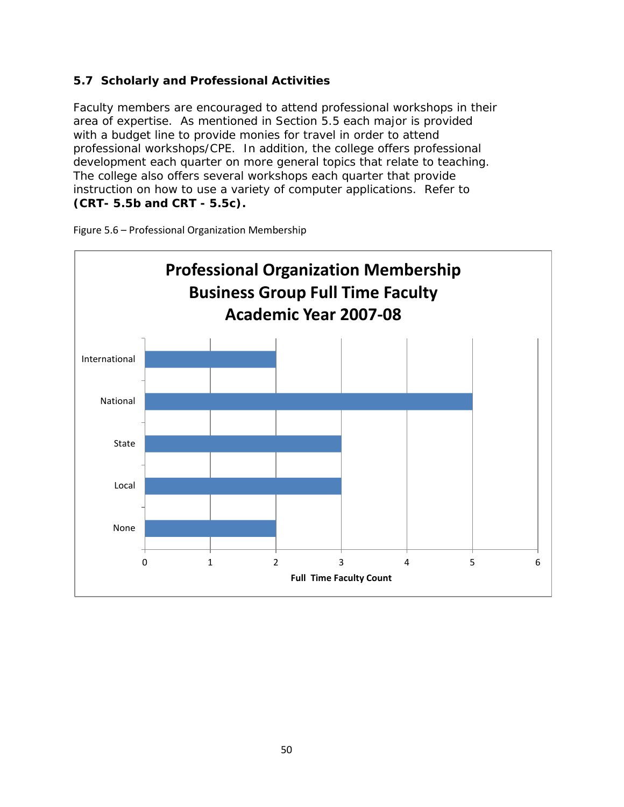## **5.7 Scholarly and Professional Activities**

Faculty members are encouraged to attend professional workshops in their area of expertise. As mentioned in Section 5.5 each major is provided with a budget line to provide monies for travel in order to attend professional workshops/CPE. In addition, the college offers professional development each quarter on more general topics that relate to teaching. The college also offers several workshops each quarter that provide instruction on how to use a variety of computer applications. Refer to **(CRT- 5.5b and CRT - 5.5c).**



Figure 5.6 – Professional Organization Membership